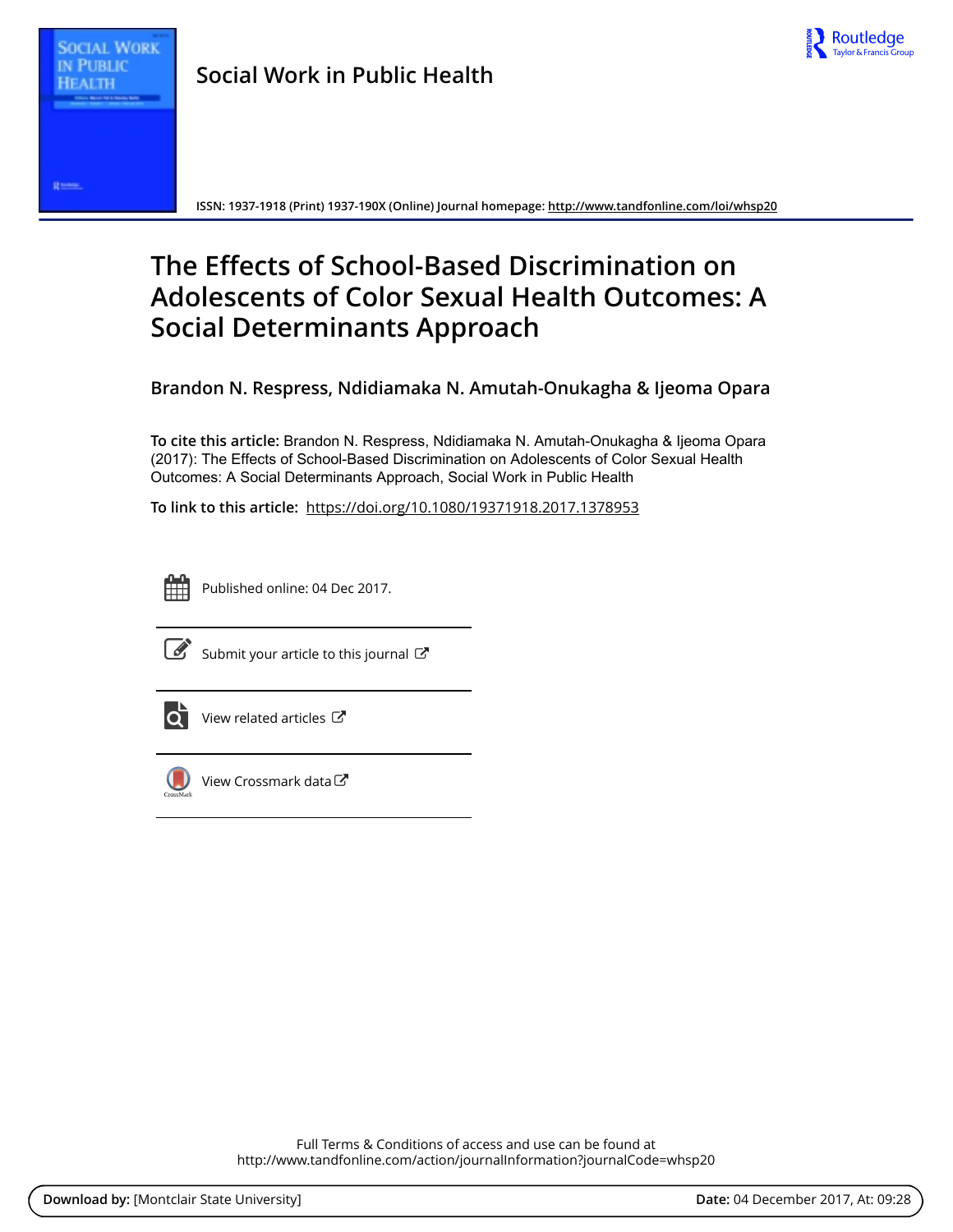

Room

ISSN: 1937-1918 (Print) 1937-190X (Online) Journal homepage: http://www.tandfonline.com/loi/whsp20

# The Effects of School-Based Discrimination on Adolescents of Color Sexual Health Outcomes: A Social Determinants Approach

Brandon N. Respress, Ndidiamaka N. Amutah-Onukagha & Ijeoma Opara

To cite this article: Brandon N. Respress, Ndidiamaka N. Amutah-Onukagha & Ijeoma Opara (2017): The Effects of School-Based Discrimination on Adolescents of Color Sexual Health Outcomes: A Social Determinants Approach, Social Work in Public Health

To link to this article: https://doi.org/10.1080/19371918.2017.1378953



Published online: 04 Dec 2017.



Submit your article to this journal  $\mathbb{Z}$ 



 $\overrightarrow{Q}$  View related articles  $\overrightarrow{C}$ 



 $\bigcirc$  View Crossmark data $\mathbb{Z}$ 

Full Terms & Conditions of access and use can be found at http://www.tandfonline.com/action/journalInformation?journalCode=whsp20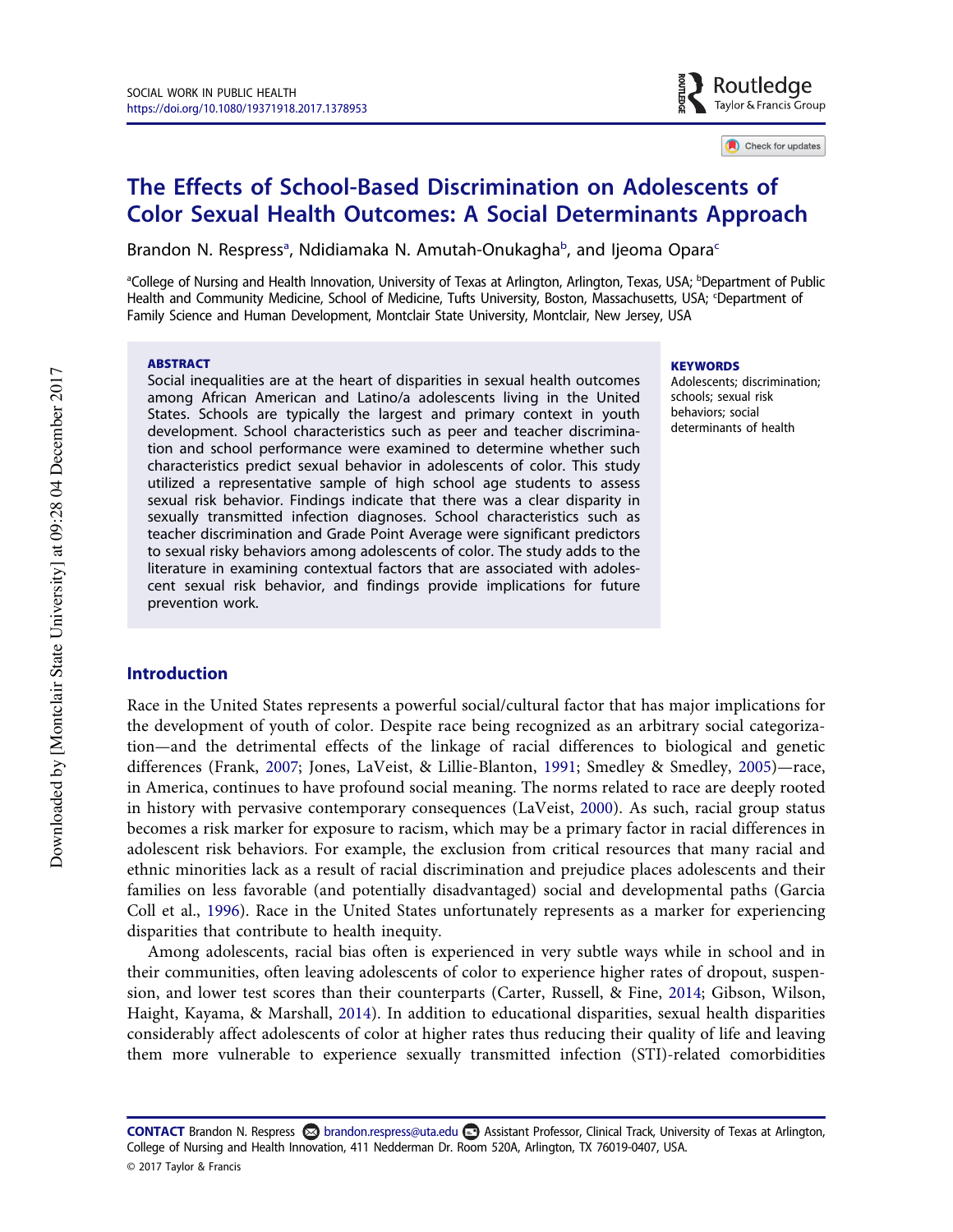

Check for updates

# The Effects of School-Based Discrimination on Adolescents of Color Sexual Health Outcomes: A Social Determinants Approach

Brandon N. Respress<sup>a</sup>, Ndidiamaka N. Amutah-Onukagha<sup>b</sup>, and Ijeoma Opara<sup>c</sup>

<sup>a</sup>College of Nursing and Health Innovation, University of Texas at Arlington, Arlington, Texas, USA; <sup>b</sup>Department of Public Health and Community Medicine, School of Medicine, Tufts University, Boston, Massachusetts, USA; <sup>c</sup>Department of Family Science and Human Development, Montclair State University, Montclair, New Jersey, USA

#### ABSTRACT

Social inequalities are at the heart of disparities in sexual health outcomes among African American and Latino/a adolescents living in the United States. Schools are typically the largest and primary context in youth development. School characteristics such as peer and teacher discrimination and school performance were examined to determine whether such characteristics predict sexual behavior in adolescents of color. This study utilized a representative sample of high school age students to assess sexual risk behavior. Findings indicate that there was a clear disparity in sexually transmitted infection diagnoses. School characteristics such as teacher discrimination and Grade Point Average were significant predictors to sexual risky behaviors among adolescents of color. The study adds to the literature in examining contextual factors that are associated with adolescent sexual risk behavior, and findings provide implications for future prevention work.

#### **KEYWORDS**

Adolescents; discrimination; schools; sexual risk behaviors; social determinants of health

#### Introduction

Race in the United States represents a powerful social/cultural factor that has major implications for the development of youth of color. Despite race being recognized as an arbitrary social categorization—and the detrimental effects of the linkage of racial differences to biological and genetic differences (Frank, 2007; Jones, LaVeist, & Lillie-Blanton, 1991; Smedley & Smedley, 2005)—race, in America, continues to have profound social meaning. The norms related to race are deeply rooted in history with pervasive contemporary consequences (LaVeist, 2000). As such, racial group status becomes a risk marker for exposure to racism, which may be a primary factor in racial differences in adolescent risk behaviors. For example, the exclusion from critical resources that many racial and ethnic minorities lack as a result of racial discrimination and prejudice places adolescents and their families on less favorable (and potentially disadvantaged) social and developmental paths (Garcia Coll et al., 1996). Race in the United States unfortunately represents as a marker for experiencing disparities that contribute to health inequity.

Among adolescents, racial bias often is experienced in very subtle ways while in school and in their communities, often leaving adolescents of color to experience higher rates of dropout, suspension, and lower test scores than their counterparts (Carter, Russell, & Fine, 2014; Gibson, Wilson, Haight, Kayama, & Marshall, 2014). In addition to educational disparities, sexual health disparities considerably affect adolescents of color at higher rates thus reducing their quality of life and leaving them more vulnerable to experience sexually transmitted infection (STI)-related comorbidities

CONTACT Brandon N. Respress a brandon.respress@uta.edu **Assistant Professor, Clinical Track, University of Texas at Arlington**, College of Nursing and Health Innovation, 411 Nedderman Dr. Room 520A, Arlington, TX 76019-0407, USA. © 2017 Taylor & Francis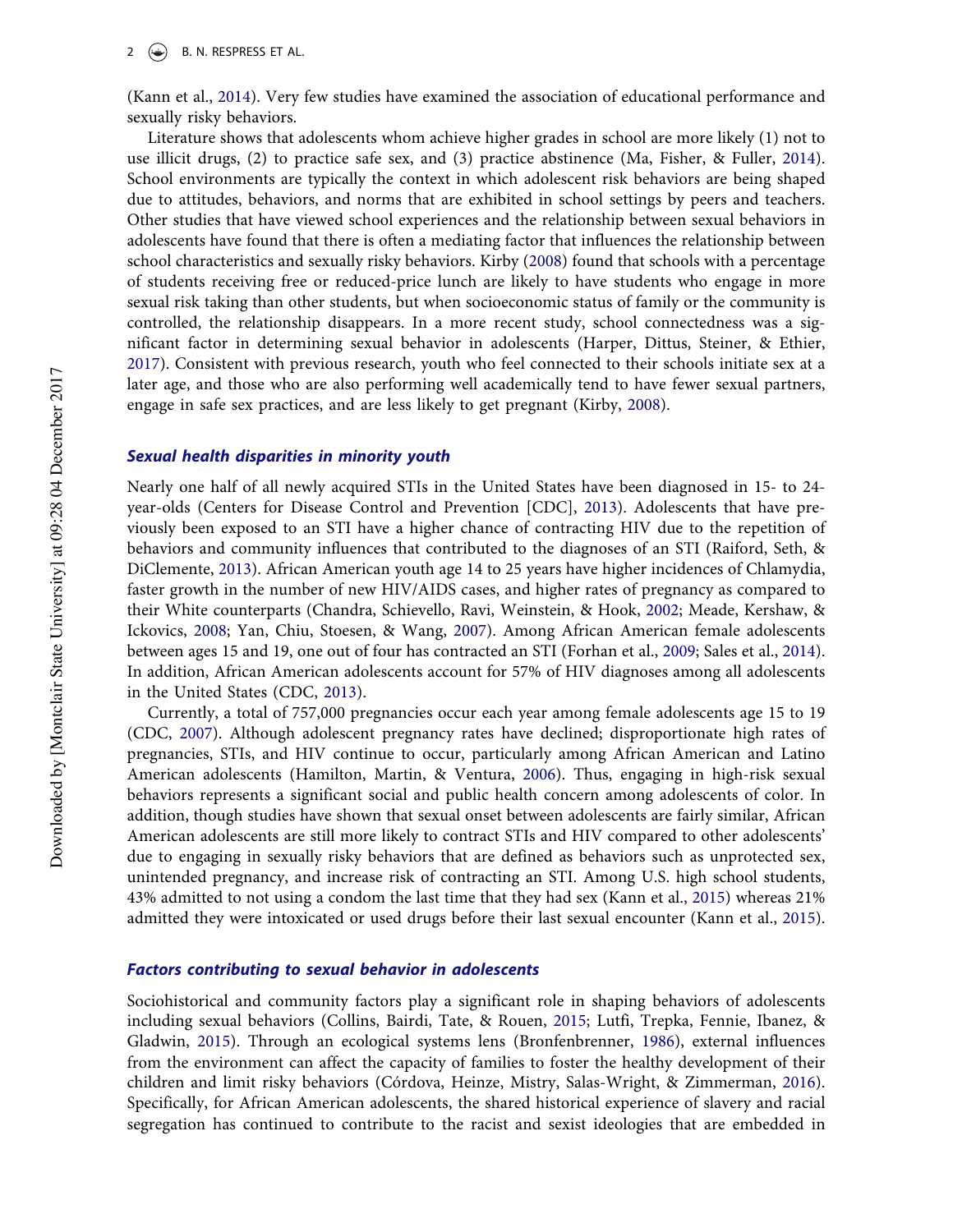2  $\left(\rightarrow\right)$  B. N. RESPRESS ET AL.

(Kann et al., 2014). Very few studies have examined the association of educational performance and sexually risky behaviors.

Literature shows that adolescents whom achieve higher grades in school are more likely (1) not to use illicit drugs, (2) to practice safe sex, and (3) practice abstinence (Ma, Fisher, & Fuller, 2014). School environments are typically the context in which adolescent risk behaviors are being shaped due to attitudes, behaviors, and norms that are exhibited in school settings by peers and teachers. Other studies that have viewed school experiences and the relationship between sexual behaviors in adolescents have found that there is often a mediating factor that influences the relationship between school characteristics and sexually risky behaviors. Kirby (2008) found that schools with a percentage of students receiving free or reduced-price lunch are likely to have students who engage in more sexual risk taking than other students, but when socioeconomic status of family or the community is controlled, the relationship disappears. In a more recent study, school connectedness was a significant factor in determining sexual behavior in adolescents (Harper, Dittus, Steiner, & Ethier, 2017). Consistent with previous research, youth who feel connected to their schools initiate sex at a later age, and those who are also performing well academically tend to have fewer sexual partners, engage in safe sex practices, and are less likely to get pregnant (Kirby, 2008).

#### Sexual health disparities in minority youth

Nearly one half of all newly acquired STIs in the United States have been diagnosed in 15- to 24 year-olds (Centers for Disease Control and Prevention [CDC], 2013). Adolescents that have previously been exposed to an STI have a higher chance of contracting HIV due to the repetition of behaviors and community influences that contributed to the diagnoses of an STI (Raiford, Seth, & DiClemente, 2013). African American youth age 14 to 25 years have higher incidences of Chlamydia, faster growth in the number of new HIV/AIDS cases, and higher rates of pregnancy as compared to their White counterparts (Chandra, Schievello, Ravi, Weinstein, & Hook, 2002; Meade, Kershaw, & Ickovics, 2008; Yan, Chiu, Stoesen, & Wang, 2007). Among African American female adolescents between ages 15 and 19, one out of four has contracted an STI (Forhan et al., 2009; Sales et al., 2014). In addition, African American adolescents account for 57% of HIV diagnoses among all adolescents in the United States (CDC, 2013).

Currently, a total of 757,000 pregnancies occur each year among female adolescents age 15 to 19 (CDC, 2007). Although adolescent pregnancy rates have declined; disproportionate high rates of pregnancies, STIs, and HIV continue to occur, particularly among African American and Latino American adolescents (Hamilton, Martin, & Ventura, 2006). Thus, engaging in high-risk sexual behaviors represents a significant social and public health concern among adolescents of color. In addition, though studies have shown that sexual onset between adolescents are fairly similar, African American adolescents are still more likely to contract STIs and HIV compared to other adolescents' due to engaging in sexually risky behaviors that are defined as behaviors such as unprotected sex, unintended pregnancy, and increase risk of contracting an STI. Among U.S. high school students, 43% admitted to not using a condom the last time that they had sex (Kann et al., 2015) whereas 21% admitted they were intoxicated or used drugs before their last sexual encounter (Kann et al., 2015).

#### Factors contributing to sexual behavior in adolescents

Sociohistorical and community factors play a significant role in shaping behaviors of adolescents including sexual behaviors (Collins, Bairdi, Tate, & Rouen, 2015; Lutfi, Trepka, Fennie, Ibanez, & Gladwin, 2015). Through an ecological systems lens (Bronfenbrenner, 1986), external influences from the environment can affect the capacity of families to foster the healthy development of their children and limit risky behaviors (Córdova, Heinze, Mistry, Salas-Wright, & Zimmerman, 2016). Specifically, for African American adolescents, the shared historical experience of slavery and racial segregation has continued to contribute to the racist and sexist ideologies that are embedded in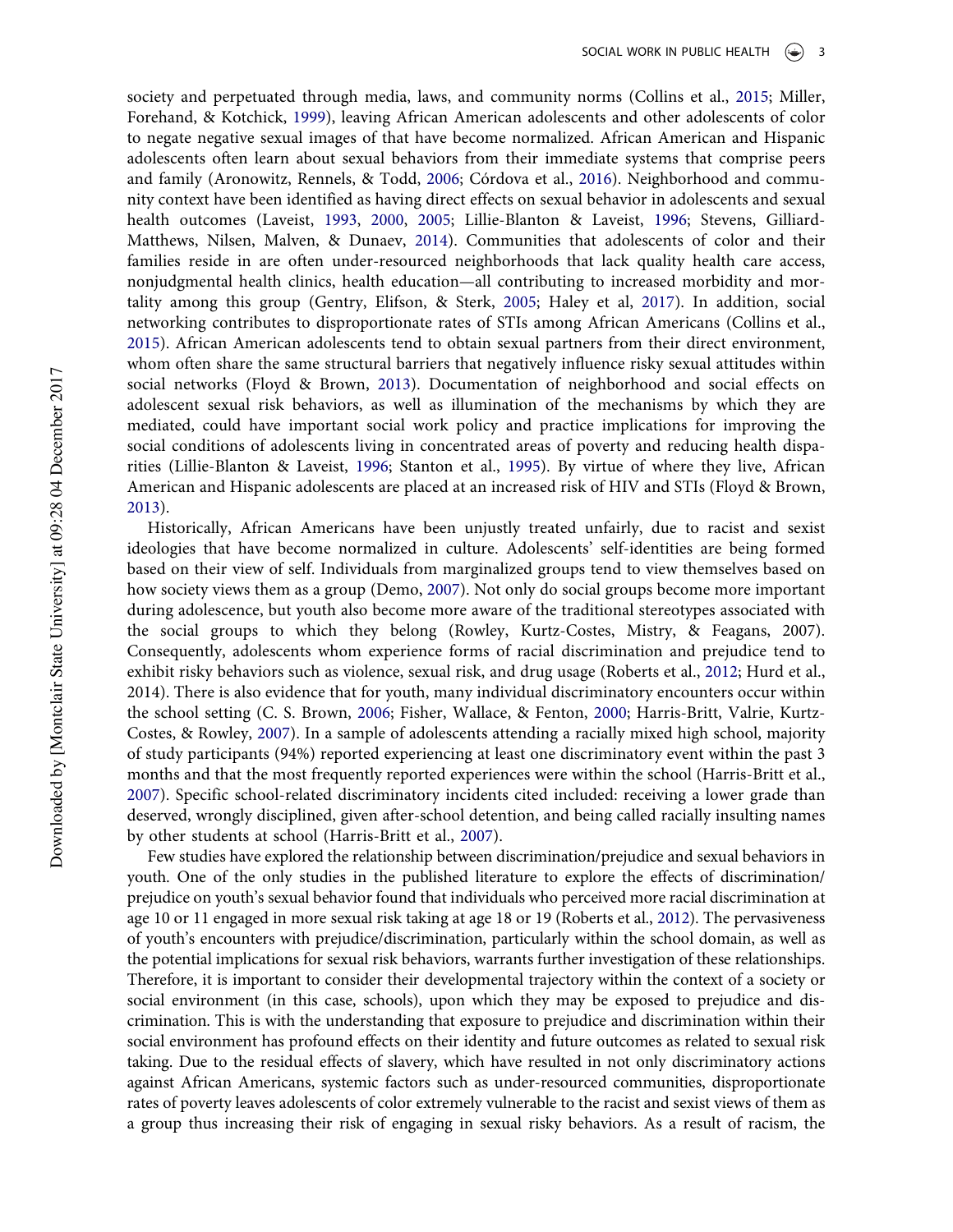society and perpetuated through media, laws, and community norms (Collins et al., 2015; Miller, Forehand, & Kotchick, 1999), leaving African American adolescents and other adolescents of color to negate negative sexual images of that have become normalized. African American and Hispanic adolescents often learn about sexual behaviors from their immediate systems that comprise peers and family (Aronowitz, Rennels, & Todd, 2006; Córdova et al., 2016). Neighborhood and community context have been identified as having direct effects on sexual behavior in adolescents and sexual health outcomes (Laveist, 1993, 2000, 2005; Lillie-Blanton & Laveist, 1996; Stevens, Gilliard-Matthews, Nilsen, Malven, & Dunaev, 2014). Communities that adolescents of color and their families reside in are often under-resourced neighborhoods that lack quality health care access, nonjudgmental health clinics, health education—all contributing to increased morbidity and mortality among this group (Gentry, Elifson, & Sterk, 2005; Haley et al, 2017). In addition, social networking contributes to disproportionate rates of STIs among African Americans (Collins et al., 2015). African American adolescents tend to obtain sexual partners from their direct environment, whom often share the same structural barriers that negatively influence risky sexual attitudes within social networks (Floyd & Brown, 2013). Documentation of neighborhood and social effects on adolescent sexual risk behaviors, as well as illumination of the mechanisms by which they are mediated, could have important social work policy and practice implications for improving the social conditions of adolescents living in concentrated areas of poverty and reducing health disparities (Lillie-Blanton & Laveist, 1996; Stanton et al., 1995). By virtue of where they live, African American and Hispanic adolescents are placed at an increased risk of HIV and STIs (Floyd & Brown, 2013).

Historically, African Americans have been unjustly treated unfairly, due to racist and sexist ideologies that have become normalized in culture. Adolescents' self-identities are being formed based on their view of self. Individuals from marginalized groups tend to view themselves based on how society views them as a group (Demo, 2007). Not only do social groups become more important during adolescence, but youth also become more aware of the traditional stereotypes associated with the social groups to which they belong (Rowley, Kurtz-Costes, Mistry, & Feagans, 2007). Consequently, adolescents whom experience forms of racial discrimination and prejudice tend to exhibit risky behaviors such as violence, sexual risk, and drug usage (Roberts et al., 2012; Hurd et al., 2014). There is also evidence that for youth, many individual discriminatory encounters occur within the school setting (C. S. Brown, 2006; Fisher, Wallace, & Fenton, 2000; Harris-Britt, Valrie, Kurtz-Costes, & Rowley, 2007). In a sample of adolescents attending a racially mixed high school, majority of study participants (94%) reported experiencing at least one discriminatory event within the past 3 months and that the most frequently reported experiences were within the school (Harris-Britt et al., 2007). Specific school-related discriminatory incidents cited included: receiving a lower grade than deserved, wrongly disciplined, given after-school detention, and being called racially insulting names by other students at school (Harris-Britt et al., 2007).

Few studies have explored the relationship between discrimination/prejudice and sexual behaviors in youth. One of the only studies in the published literature to explore the effects of discrimination/ prejudice on youth's sexual behavior found that individuals who perceived more racial discrimination at age 10 or 11 engaged in more sexual risk taking at age 18 or 19 (Roberts et al., 2012). The pervasiveness of youth's encounters with prejudice/discrimination, particularly within the school domain, as well as the potential implications for sexual risk behaviors, warrants further investigation of these relationships. Therefore, it is important to consider their developmental trajectory within the context of a society or social environment (in this case, schools), upon which they may be exposed to prejudice and discrimination. This is with the understanding that exposure to prejudice and discrimination within their social environment has profound effects on their identity and future outcomes as related to sexual risk taking. Due to the residual effects of slavery, which have resulted in not only discriminatory actions against African Americans, systemic factors such as under-resourced communities, disproportionate rates of poverty leaves adolescents of color extremely vulnerable to the racist and sexist views of them as a group thus increasing their risk of engaging in sexual risky behaviors. As a result of racism, the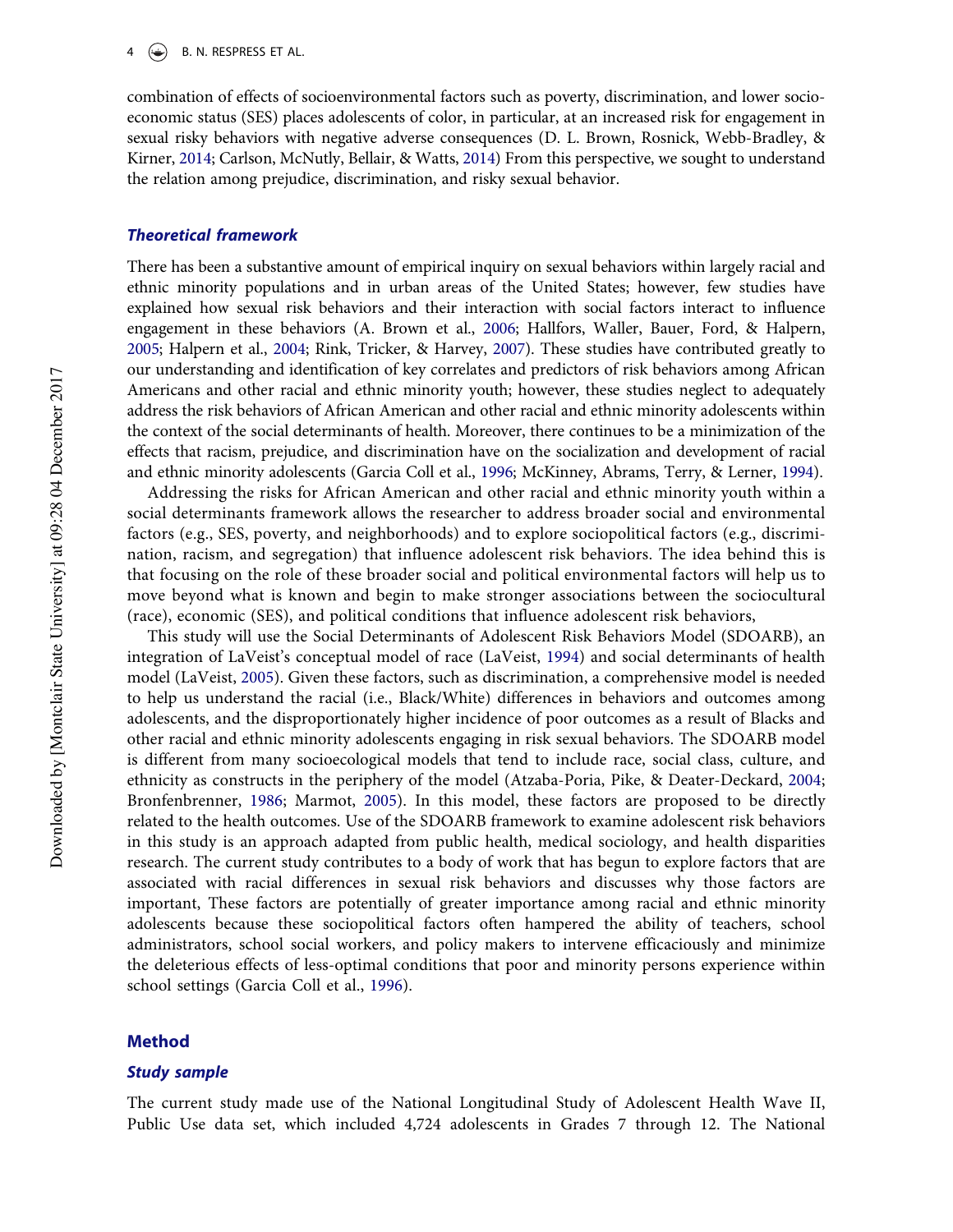$4 \quad (*)$  B. N. RESPRESS ET AL.

combination of effects of socioenvironmental factors such as poverty, discrimination, and lower socioeconomic status (SES) places adolescents of color, in particular, at an increased risk for engagement in sexual risky behaviors with negative adverse consequences (D. L. Brown, Rosnick, Webb-Bradley, & Kirner, 2014; Carlson, McNutly, Bellair, & Watts, 2014) From this perspective, we sought to understand the relation among prejudice, discrimination, and risky sexual behavior.

#### Theoretical framework

There has been a substantive amount of empirical inquiry on sexual behaviors within largely racial and ethnic minority populations and in urban areas of the United States; however, few studies have explained how sexual risk behaviors and their interaction with social factors interact to influence engagement in these behaviors (A. Brown et al., 2006; Hallfors, Waller, Bauer, Ford, & Halpern, 2005; Halpern et al., 2004; Rink, Tricker, & Harvey, 2007). These studies have contributed greatly to our understanding and identification of key correlates and predictors of risk behaviors among African Americans and other racial and ethnic minority youth; however, these studies neglect to adequately address the risk behaviors of African American and other racial and ethnic minority adolescents within the context of the social determinants of health. Moreover, there continues to be a minimization of the effects that racism, prejudice, and discrimination have on the socialization and development of racial and ethnic minority adolescents (Garcia Coll et al., 1996; McKinney, Abrams, Terry, & Lerner, 1994).

Addressing the risks for African American and other racial and ethnic minority youth within a social determinants framework allows the researcher to address broader social and environmental factors (e.g., SES, poverty, and neighborhoods) and to explore sociopolitical factors (e.g., discrimination, racism, and segregation) that influence adolescent risk behaviors. The idea behind this is that focusing on the role of these broader social and political environmental factors will help us to move beyond what is known and begin to make stronger associations between the sociocultural (race), economic (SES), and political conditions that influence adolescent risk behaviors,

This study will use the Social Determinants of Adolescent Risk Behaviors Model (SDOARB), an integration of LaVeist's conceptual model of race (LaVeist, 1994) and social determinants of health model (LaVeist, 2005). Given these factors, such as discrimination, a comprehensive model is needed to help us understand the racial (i.e., Black/White) differences in behaviors and outcomes among adolescents, and the disproportionately higher incidence of poor outcomes as a result of Blacks and other racial and ethnic minority adolescents engaging in risk sexual behaviors. The SDOARB model is different from many socioecological models that tend to include race, social class, culture, and ethnicity as constructs in the periphery of the model (Atzaba-Poria, Pike, & Deater-Deckard, 2004; Bronfenbrenner, 1986; Marmot, 2005). In this model, these factors are proposed to be directly related to the health outcomes. Use of the SDOARB framework to examine adolescent risk behaviors in this study is an approach adapted from public health, medical sociology, and health disparities research. The current study contributes to a body of work that has begun to explore factors that are associated with racial differences in sexual risk behaviors and discusses why those factors are important, These factors are potentially of greater importance among racial and ethnic minority adolescents because these sociopolitical factors often hampered the ability of teachers, school administrators, school social workers, and policy makers to intervene efficaciously and minimize the deleterious effects of less-optimal conditions that poor and minority persons experience within school settings (Garcia Coll et al., 1996).

#### Method

#### Study sample

The current study made use of the National Longitudinal Study of Adolescent Health Wave II, Public Use data set, which included 4,724 adolescents in Grades 7 through 12. The National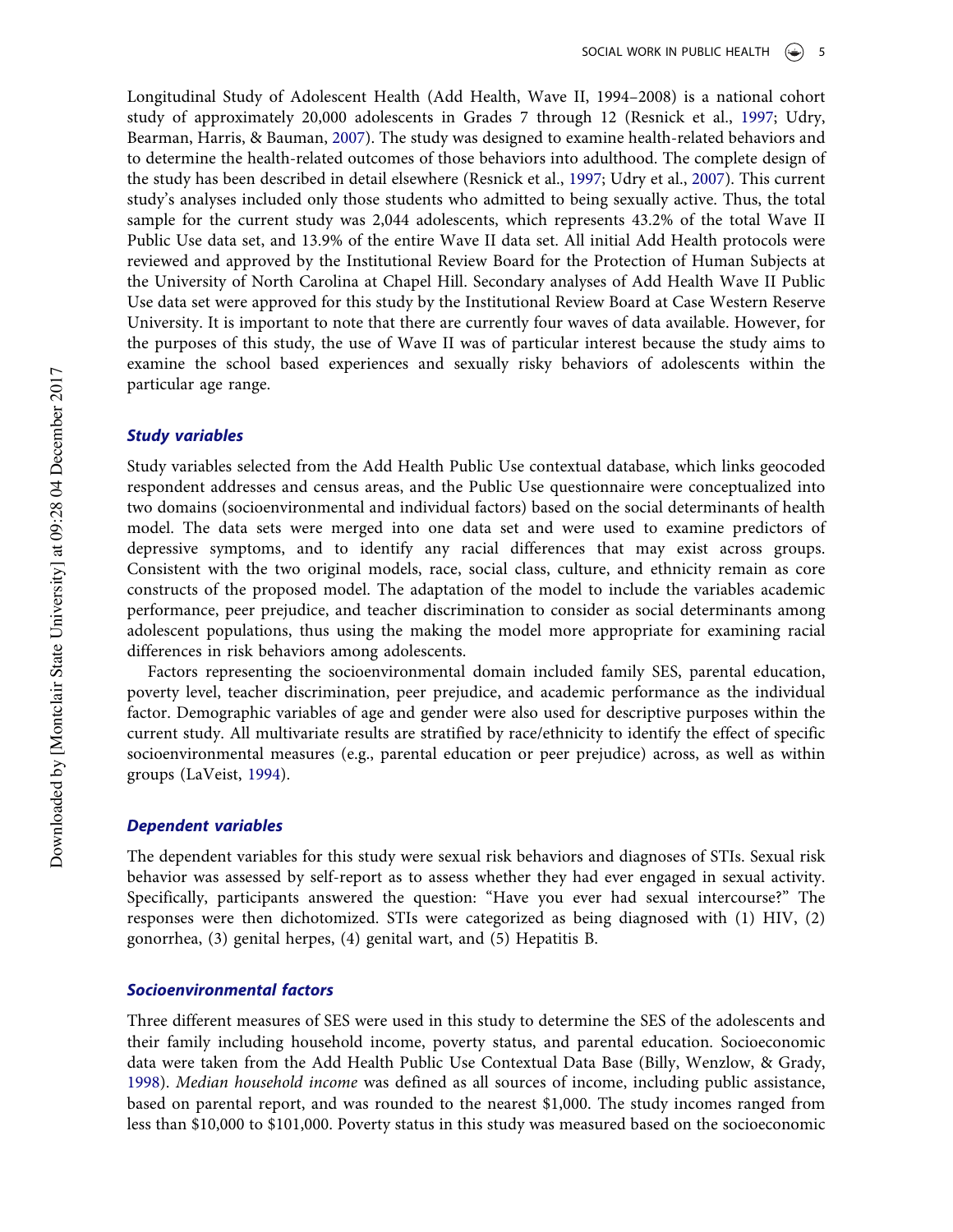Longitudinal Study of Adolescent Health (Add Health, Wave II, 1994–2008) is a national cohort study of approximately 20,000 adolescents in Grades 7 through 12 (Resnick et al., 1997; Udry, Bearman, Harris, & Bauman, 2007). The study was designed to examine health-related behaviors and to determine the health-related outcomes of those behaviors into adulthood. The complete design of the study has been described in detail elsewhere (Resnick et al., 1997; Udry et al., 2007). This current study's analyses included only those students who admitted to being sexually active. Thus, the total sample for the current study was 2,044 adolescents, which represents 43.2% of the total Wave II Public Use data set, and 13.9% of the entire Wave II data set. All initial Add Health protocols were reviewed and approved by the Institutional Review Board for the Protection of Human Subjects at the University of North Carolina at Chapel Hill. Secondary analyses of Add Health Wave II Public Use data set were approved for this study by the Institutional Review Board at Case Western Reserve University. It is important to note that there are currently four waves of data available. However, for the purposes of this study, the use of Wave II was of particular interest because the study aims to examine the school based experiences and sexually risky behaviors of adolescents within the particular age range.

#### Study variables

Study variables selected from the Add Health Public Use contextual database, which links geocoded respondent addresses and census areas, and the Public Use questionnaire were conceptualized into two domains (socioenvironmental and individual factors) based on the social determinants of health model. The data sets were merged into one data set and were used to examine predictors of depressive symptoms, and to identify any racial differences that may exist across groups. Consistent with the two original models, race, social class, culture, and ethnicity remain as core constructs of the proposed model. The adaptation of the model to include the variables academic performance, peer prejudice, and teacher discrimination to consider as social determinants among adolescent populations, thus using the making the model more appropriate for examining racial differences in risk behaviors among adolescents.

Factors representing the socioenvironmental domain included family SES, parental education, poverty level, teacher discrimination, peer prejudice, and academic performance as the individual factor. Demographic variables of age and gender were also used for descriptive purposes within the current study. All multivariate results are stratified by race/ethnicity to identify the effect of specific socioenvironmental measures (e.g., parental education or peer prejudice) across, as well as within groups (LaVeist, 1994).

#### Dependent variables

The dependent variables for this study were sexual risk behaviors and diagnoses of STIs. Sexual risk behavior was assessed by self-report as to assess whether they had ever engaged in sexual activity. Specifically, participants answered the question: "Have you ever had sexual intercourse?" The responses were then dichotomized. STIs were categorized as being diagnosed with (1) HIV, (2) gonorrhea, (3) genital herpes, (4) genital wart, and (5) Hepatitis B.

#### Socioenvironmental factors

Three different measures of SES were used in this study to determine the SES of the adolescents and their family including household income, poverty status, and parental education. Socioeconomic data were taken from the Add Health Public Use Contextual Data Base (Billy, Wenzlow, & Grady, 1998). Median household income was defined as all sources of income, including public assistance, based on parental report, and was rounded to the nearest \$1,000. The study incomes ranged from less than \$10,000 to \$101,000. Poverty status in this study was measured based on the socioeconomic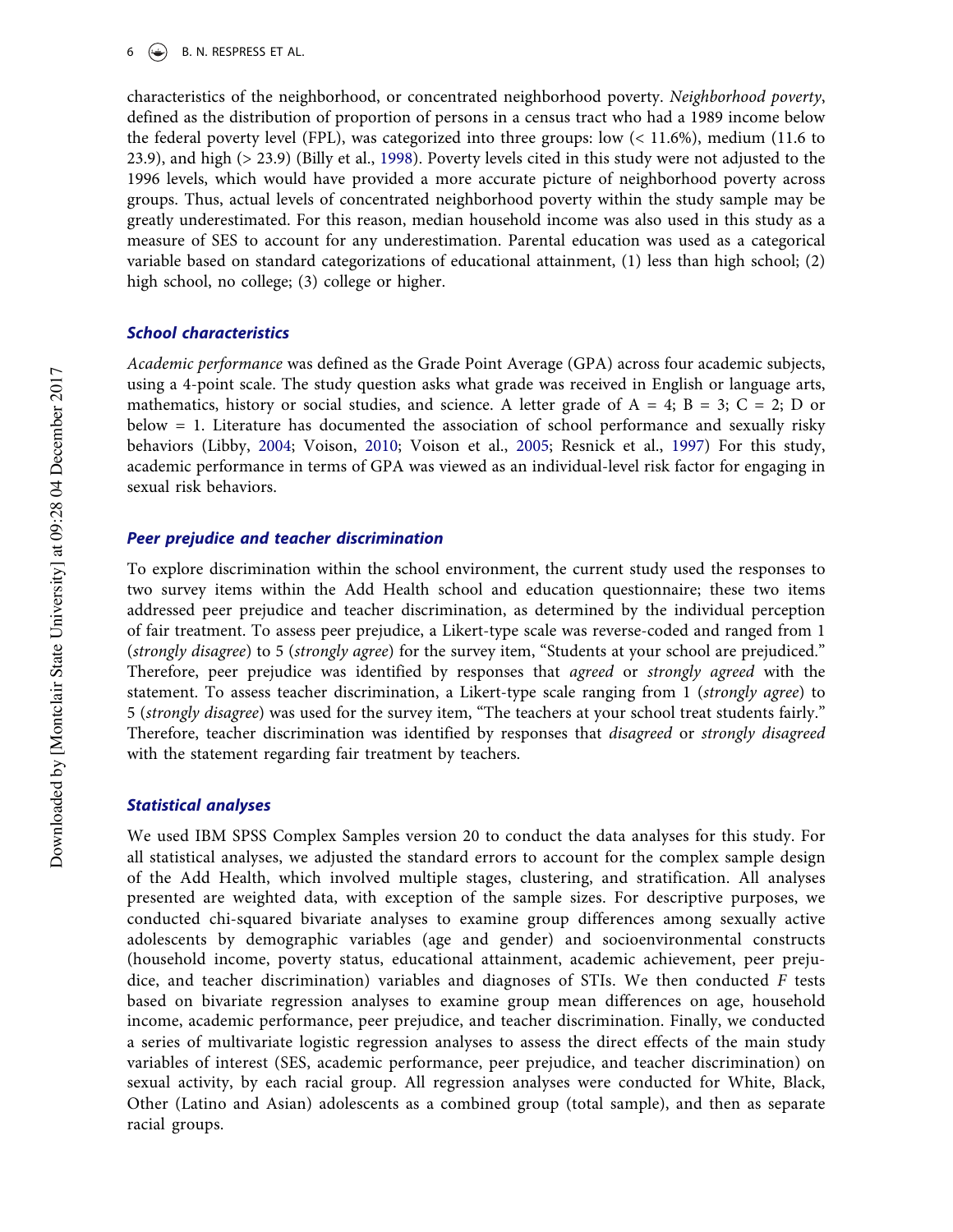6  $\left(\rightarrow\right)$  B. N. RESPRESS ET AL.

characteristics of the neighborhood, or concentrated neighborhood poverty. Neighborhood poverty, defined as the distribution of proportion of persons in a census tract who had a 1989 income below the federal poverty level (FPL), was categorized into three groups: low (< 11.6%), medium (11.6 to 23.9), and high (> 23.9) (Billy et al., 1998). Poverty levels cited in this study were not adjusted to the 1996 levels, which would have provided a more accurate picture of neighborhood poverty across groups. Thus, actual levels of concentrated neighborhood poverty within the study sample may be greatly underestimated. For this reason, median household income was also used in this study as a measure of SES to account for any underestimation. Parental education was used as a categorical variable based on standard categorizations of educational attainment, (1) less than high school; (2) high school, no college; (3) college or higher.

#### School characteristics

Academic performance was defined as the Grade Point Average (GPA) across four academic subjects, using a 4-point scale. The study question asks what grade was received in English or language arts, mathematics, history or social studies, and science. A letter grade of  $A = 4$ ;  $B = 3$ ;  $C = 2$ ; D or below = 1. Literature has documented the association of school performance and sexually risky behaviors (Libby, 2004; Voison, 2010; Voison et al., 2005; Resnick et al., 1997) For this study, academic performance in terms of GPA was viewed as an individual-level risk factor for engaging in sexual risk behaviors.

#### Peer prejudice and teacher discrimination

To explore discrimination within the school environment, the current study used the responses to two survey items within the Add Health school and education questionnaire; these two items addressed peer prejudice and teacher discrimination, as determined by the individual perception of fair treatment. To assess peer prejudice, a Likert-type scale was reverse-coded and ranged from 1 (strongly disagree) to 5 (strongly agree) for the survey item, "Students at your school are prejudiced." Therefore, peer prejudice was identified by responses that agreed or strongly agreed with the statement. To assess teacher discrimination, a Likert-type scale ranging from 1 (strongly agree) to 5 (strongly disagree) was used for the survey item, "The teachers at your school treat students fairly." Therefore, teacher discrimination was identified by responses that *disagreed* or *strongly disagreed* with the statement regarding fair treatment by teachers.

#### Statistical analyses

We used IBM SPSS Complex Samples version 20 to conduct the data analyses for this study. For all statistical analyses, we adjusted the standard errors to account for the complex sample design of the Add Health, which involved multiple stages, clustering, and stratification. All analyses presented are weighted data, with exception of the sample sizes. For descriptive purposes, we conducted chi-squared bivariate analyses to examine group differences among sexually active adolescents by demographic variables (age and gender) and socioenvironmental constructs (household income, poverty status, educational attainment, academic achievement, peer prejudice, and teacher discrimination) variables and diagnoses of STIs. We then conducted  $F$  tests based on bivariate regression analyses to examine group mean differences on age, household income, academic performance, peer prejudice, and teacher discrimination. Finally, we conducted a series of multivariate logistic regression analyses to assess the direct effects of the main study variables of interest (SES, academic performance, peer prejudice, and teacher discrimination) on sexual activity, by each racial group. All regression analyses were conducted for White, Black, Other (Latino and Asian) adolescents as a combined group (total sample), and then as separate racial groups.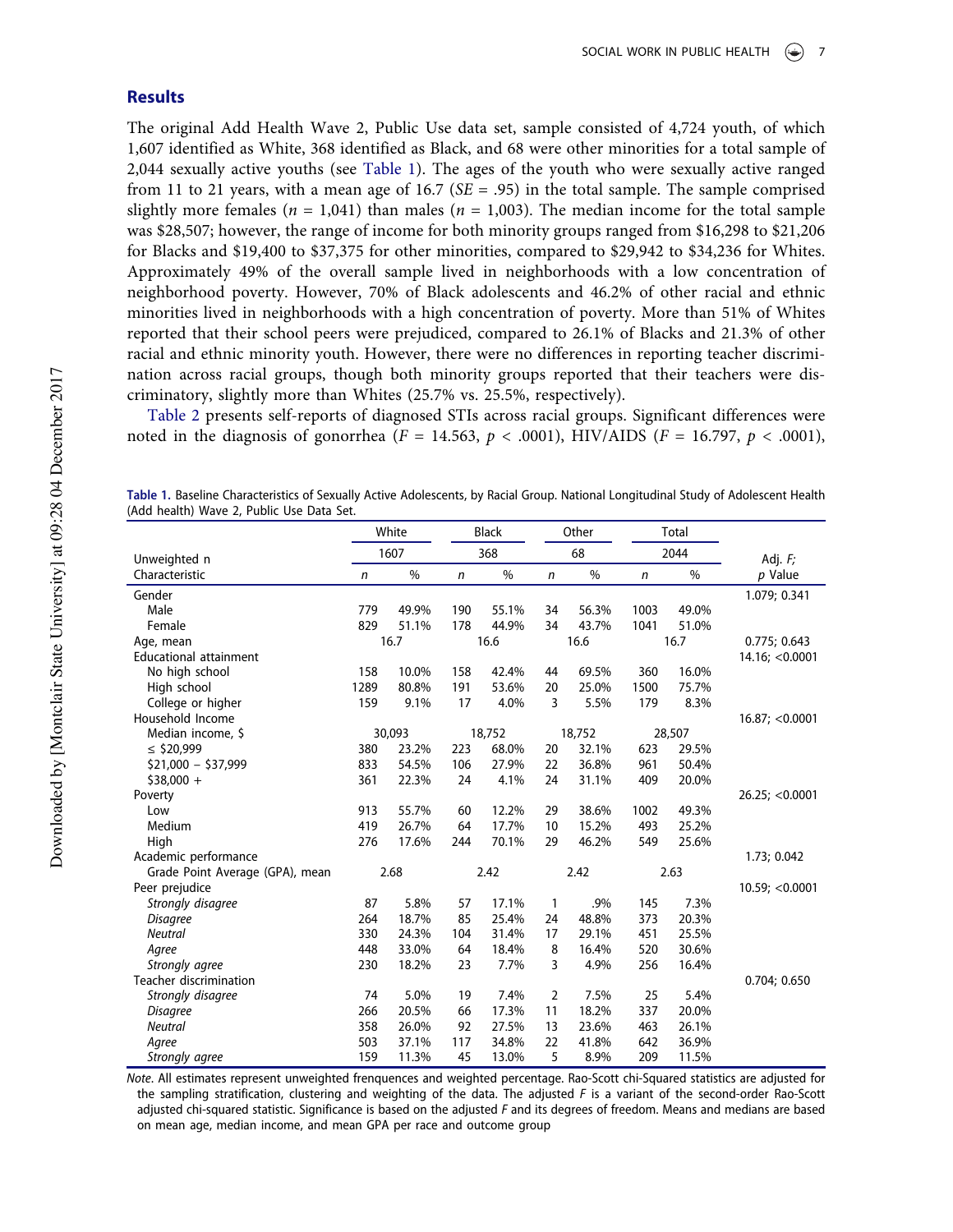## **Results**

The original Add Health Wave 2, Public Use data set, sample consisted of 4,724 youth, of which 1,607 identified as White, 368 identified as Black, and 68 were other minorities for a total sample of 2,044 sexually active youths (see Table 1). The ages of the youth who were sexually active ranged from 11 to 21 years, with a mean age of 16.7 ( $SE = .95$ ) in the total sample. The sample comprised slightly more females ( $n = 1,041$ ) than males ( $n = 1,003$ ). The median income for the total sample was \$28,507; however, the range of income for both minority groups ranged from \$16,298 to \$21,206 for Blacks and \$19,400 to \$37,375 for other minorities, compared to \$29,942 to \$34,236 for Whites. Approximately 49% of the overall sample lived in neighborhoods with a low concentration of neighborhood poverty. However, 70% of Black adolescents and 46.2% of other racial and ethnic minorities lived in neighborhoods with a high concentration of poverty. More than 51% of Whites reported that their school peers were prejudiced, compared to 26.1% of Blacks and 21.3% of other racial and ethnic minority youth. However, there were no differences in reporting teacher discrimination across racial groups, though both minority groups reported that their teachers were discriminatory, slightly more than Whites (25.7% vs. 25.5%, respectively).

Table 2 presents self-reports of diagnosed STIs across racial groups. Significant differences were noted in the diagnosis of gonorrhea ( $F = 14.563$ ,  $p < .0001$ ), HIV/AIDS ( $F = 16.797$ ,  $p < .0001$ ),

|                                 |              | White  | <b>Black</b> |        | Other        |        | <b>Total</b> |               |                 |
|---------------------------------|--------------|--------|--------------|--------|--------------|--------|--------------|---------------|-----------------|
| Unweighted n                    |              | 1607   |              | 368    |              | 68     |              | 2044          | Adj. F;         |
| Characteristic                  | $\mathsf{n}$ | %      | $\mathsf{n}$ | $\%$   | $\mathsf{n}$ | %      | n            | $\frac{0}{0}$ | p Value         |
| Gender                          |              |        |              |        |              |        |              |               | 1.079; 0.341    |
| Male                            | 779          | 49.9%  | 190          | 55.1%  | 34           | 56.3%  | 1003         | 49.0%         |                 |
| Female                          | 829          | 51.1%  | 178          | 44.9%  | 34           | 43.7%  | 1041         | 51.0%         |                 |
| Age, mean                       |              | 16.7   |              | 16.6   |              | 16.6   |              | 16.7          | 0.775; 0.643    |
| <b>Educational attainment</b>   |              |        |              |        |              |        |              |               | 14.16; < 0.0001 |
| No high school                  | 158          | 10.0%  | 158          | 42.4%  | 44           | 69.5%  | 360          | 16.0%         |                 |
| High school                     | 1289         | 80.8%  | 191          | 53.6%  | 20           | 25.0%  | 1500         | 75.7%         |                 |
| College or higher               | 159          | 9.1%   | 17           | 4.0%   | 3            | 5.5%   | 179          | 8.3%          |                 |
| Household Income                |              |        |              |        |              |        |              |               | 16.87; < 0.0001 |
| Median income, \$               |              | 30,093 |              | 18,752 |              | 18,752 |              | 28,507        |                 |
| $\le$ \$20,999                  | 380          | 23.2%  | 223          | 68.0%  | 20           | 32.1%  | 623          | 29.5%         |                 |
| $$21,000 - $37,999$             | 833          | 54.5%  | 106          | 27.9%  | 22           | 36.8%  | 961          | 50.4%         |                 |
| $$38,000 +$                     | 361          | 22.3%  | 24           | 4.1%   | 24           | 31.1%  | 409          | 20.0%         |                 |
| Poverty                         |              |        |              |        |              |        |              |               | 26.25; < 0.0001 |
| Low                             | 913          | 55.7%  | 60           | 12.2%  | 29           | 38.6%  | 1002         | 49.3%         |                 |
| Medium                          | 419          | 26.7%  | 64           | 17.7%  | 10           | 15.2%  | 493          | 25.2%         |                 |
| High                            | 276          | 17.6%  | 244          | 70.1%  | 29           | 46.2%  | 549          | 25.6%         |                 |
| Academic performance            |              |        |              |        |              |        |              |               | 1.73; 0.042     |
| Grade Point Average (GPA), mean |              | 2.68   |              | 2.42   |              | 2.42   |              | 2.63          |                 |
| Peer prejudice                  |              |        |              |        |              |        |              |               | 10.59; < 0.0001 |
| Strongly disagree               | 87           | 5.8%   | 57           | 17.1%  | 1            | .9%    | 145          | 7.3%          |                 |
| <b>Disagree</b>                 | 264          | 18.7%  | 85           | 25.4%  | 24           | 48.8%  | 373          | 20.3%         |                 |
| <b>Neutral</b>                  | 330          | 24.3%  | 104          | 31.4%  | 17           | 29.1%  | 451          | 25.5%         |                 |
| Agree                           | 448          | 33.0%  | 64           | 18.4%  | 8            | 16.4%  | 520          | 30.6%         |                 |
| Strongly agree                  | 230          | 18.2%  | 23           | 7.7%   | 3            | 4.9%   | 256          | 16.4%         |                 |
| Teacher discrimination          |              |        |              |        |              |        |              |               | 0.704; 0.650    |
| Strongly disagree               | 74           | 5.0%   | 19           | 7.4%   | 2            | 7.5%   | 25           | 5.4%          |                 |
| <b>Disagree</b>                 | 266          | 20.5%  | 66           | 17.3%  | 11           | 18.2%  | 337          | 20.0%         |                 |
| <b>Neutral</b>                  | 358          | 26.0%  | 92           | 27.5%  | 13           | 23.6%  | 463          | 26.1%         |                 |
| Agree                           | 503          | 37.1%  | 117          | 34.8%  | 22           | 41.8%  | 642          | 36.9%         |                 |
| Strongly agree                  | 159          | 11.3%  | 45           | 13.0%  | 5            | 8.9%   | 209          | 11.5%         |                 |

Table 1. Baseline Characteristics of Sexually Active Adolescents, by Racial Group. National Longitudinal Study of Adolescent Health  $\Omega$  Dublic Use Data

Note. All estimates represent unweighted frenquences and weighted percentage. Rao-Scott chi-Squared statistics are adjusted for the sampling stratification, clustering and weighting of the data. The adjusted  $F$  is a variant of the second-order Rao-Scott adjusted chi-squared statistic. Significance is based on the adjusted F and its degrees of freedom. Means and medians are based on mean age, median income, and mean GPA per race and outcome group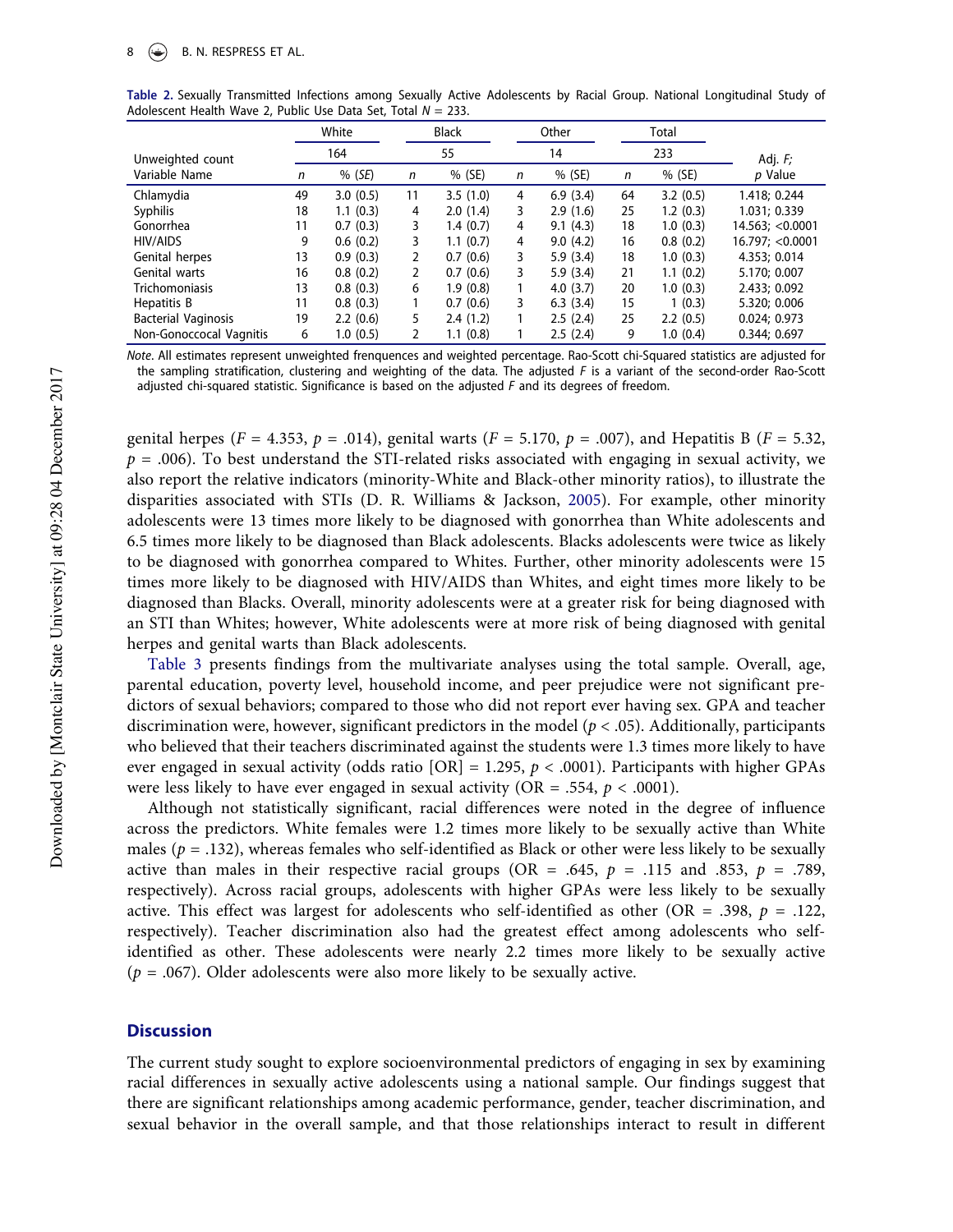|                            |    | White    |    | <b>Black</b> |   | Other    |    | Total    |                  |
|----------------------------|----|----------|----|--------------|---|----------|----|----------|------------------|
| Unweighted count           |    | 164      |    | 55           |   | 14       |    | 233      | Adj. F;          |
| Variable Name              | n  | % (SE)   | n  | $%$ (SE)     | n | % (SE)   | n  | % (SE)   | p Value          |
| Chlamydia                  | 49 | 3.0(0.5) | 11 | 3.5(1.0)     | 4 | 6.9(3.4) | 64 | 3.2(0.5) | 1.418; 0.244     |
| Syphilis                   | 18 | 1.1(0.3) | 4  | 2.0(1.4)     | 3 | 2.9(1.6) | 25 | 1.2(0.3) | 1.031; 0.339     |
| Gonorrhea                  | 11 | 0.7(0.3) | 3  | 1.4(0.7)     | 4 | 9.1(4.3) | 18 | 1.0(0.3) | 14.563; < 0.0001 |
| <b>HIV/AIDS</b>            | 9  | 0.6(0.2) | 3  | 1.1(0.7)     | 4 | 9.0(4.2) | 16 | 0.8(0.2) | 16.797; < 0.0001 |
| Genital herpes             | 13 | 0.9(0.3) | 2  | 0.7(0.6)     | 3 | 5.9(3.4) | 18 | 1.0(0.3) | 4.353; 0.014     |
| Genital warts              | 16 | 0.8(0.2) |    | 0.7(0.6)     | 3 | 5.9(3.4) | 21 | 1.1(0.2) | 5.170: 0.007     |
| <b>Trichomoniasis</b>      | 13 | 0.8(0.3) | 6  | 1.9(0.8)     |   | 4.0(3.7) | 20 | 1.0(0.3) | 2.433: 0.092     |
| Hepatitis B                | 11 | 0.8(0.3) |    | 0.7(0.6)     | 3 | 6.3(3.4) | 15 | 1(0.3)   | 5.320: 0.006     |
| <b>Bacterial Vaginosis</b> | 19 | 2.2(0.6) | 5  | 2.4(1.2)     |   | 2.5(2.4) | 25 | 2.2(0.5) | 0.024; 0.973     |
| Non-Gonoccocal Vagnitis    | 6  | 1.0(0.5) | 2  | 1.1(0.8)     |   | 2.5(2.4) | 9  | 1.0(0.4) | 0.344; 0.697     |

Table 2. Sexually Transmitted Infections among Sexually Active Adolescents by Racial Group. National Longitudinal Study of Adolescent Health Wave 2, Public Use Data Set, Total  $N = 233$ .

Note. All estimates represent unweighted frenquences and weighted percentage. Rao-Scott chi-Squared statistics are adjusted for the sampling stratification, clustering and weighting of the data. The adjusted F is a variant of the second-order Rao-Scott adjusted chi-squared statistic. Significance is based on the adjusted  $F$  and its degrees of freedom.

genital herpes ( $F = 4.353$ ,  $p = .014$ ), genital warts ( $F = 5.170$ ,  $p = .007$ ), and Hepatitis B ( $F = 5.32$ ,  $p = 0.006$ ). To best understand the STI-related risks associated with engaging in sexual activity, we also report the relative indicators (minority-White and Black-other minority ratios), to illustrate the disparities associated with STIs (D. R. Williams & Jackson, 2005). For example, other minority adolescents were 13 times more likely to be diagnosed with gonorrhea than White adolescents and 6.5 times more likely to be diagnosed than Black adolescents. Blacks adolescents were twice as likely to be diagnosed with gonorrhea compared to Whites. Further, other minority adolescents were 15 times more likely to be diagnosed with HIV/AIDS than Whites, and eight times more likely to be diagnosed than Blacks. Overall, minority adolescents were at a greater risk for being diagnosed with an STI than Whites; however, White adolescents were at more risk of being diagnosed with genital herpes and genital warts than Black adolescents.

Table 3 presents findings from the multivariate analyses using the total sample. Overall, age, parental education, poverty level, household income, and peer prejudice were not significant predictors of sexual behaviors; compared to those who did not report ever having sex. GPA and teacher discrimination were, however, significant predictors in the model ( $p < .05$ ). Additionally, participants who believed that their teachers discriminated against the students were 1.3 times more likely to have ever engaged in sexual activity (odds ratio  $[OR] = 1.295$ ,  $p < .0001$ ). Participants with higher GPAs were less likely to have ever engaged in sexual activity (OR = .554,  $p < .0001$ ).

Although not statistically significant, racial differences were noted in the degree of influence across the predictors. White females were 1.2 times more likely to be sexually active than White males ( $p = .132$ ), whereas females who self-identified as Black or other were less likely to be sexually active than males in their respective racial groups (OR = .645,  $p = .115$  and .853,  $p = .789$ , respectively). Across racial groups, adolescents with higher GPAs were less likely to be sexually active. This effect was largest for adolescents who self-identified as other (OR = .398,  $p = .122$ , respectively). Teacher discrimination also had the greatest effect among adolescents who selfidentified as other. These adolescents were nearly 2.2 times more likely to be sexually active  $(p = .067)$ . Older adolescents were also more likely to be sexually active.

#### **Discussion**

The current study sought to explore socioenvironmental predictors of engaging in sex by examining racial differences in sexually active adolescents using a national sample. Our findings suggest that there are significant relationships among academic performance, gender, teacher discrimination, and sexual behavior in the overall sample, and that those relationships interact to result in different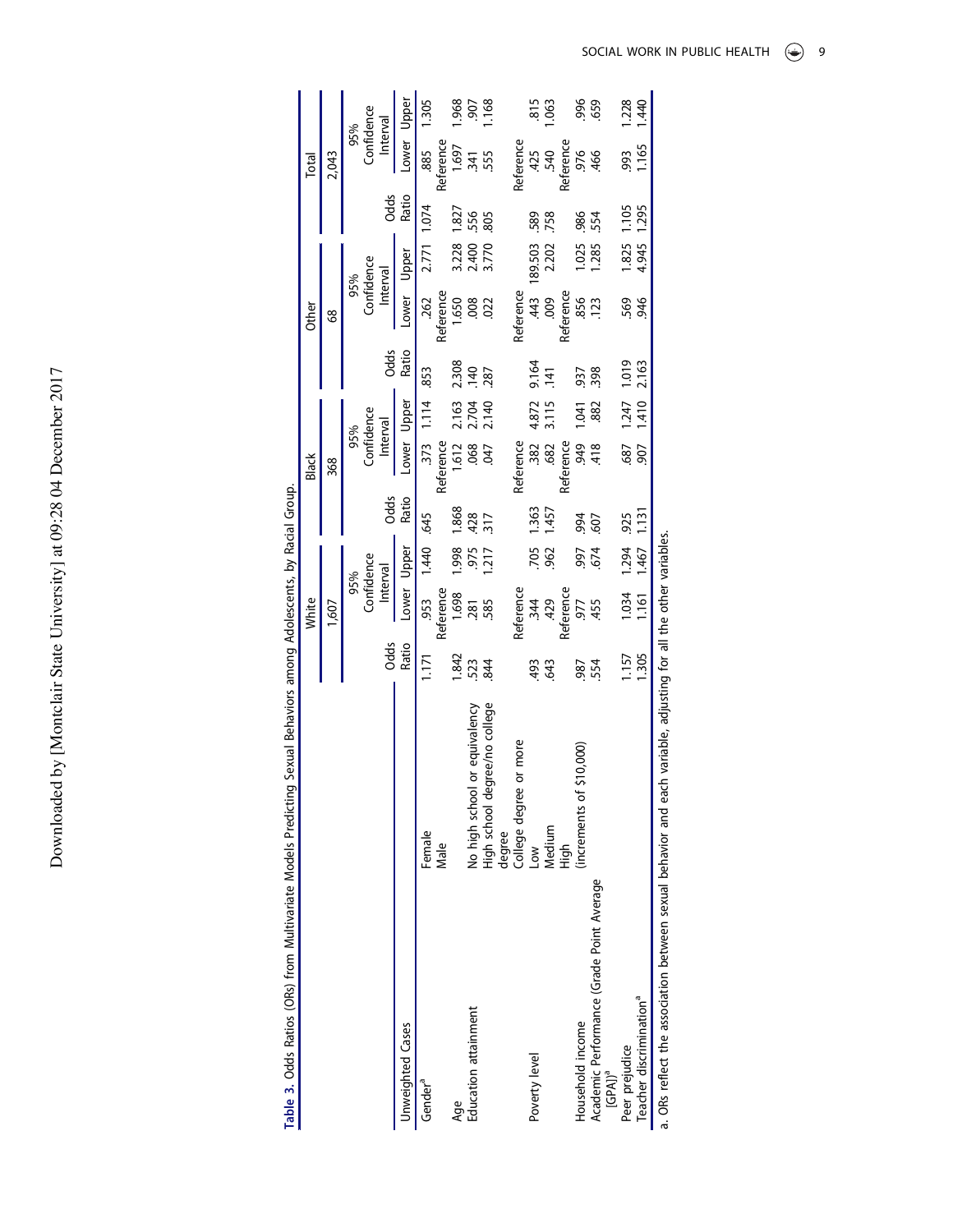|                                                                                                                 |                                     |             | White       |       |                  | Black     |             |                 | Other     |                         |       | Total       |                 |
|-----------------------------------------------------------------------------------------------------------------|-------------------------------------|-------------|-------------|-------|------------------|-----------|-------------|-----------------|-----------|-------------------------|-------|-------------|-----------------|
|                                                                                                                 |                                     |             | 1,607       |       |                  | 368       |             |                 | 89        |                         |       | 2,043       |                 |
|                                                                                                                 |                                     |             | 95%         |       |                  |           | 95%         |                 |           | 95%                     |       | 95%         |                 |
|                                                                                                                 |                                     |             | Confidence  |       |                  |           | Confidence  |                 |           | Confidence              |       | Confidence  |                 |
|                                                                                                                 |                                     | <b>Odds</b> | Interval    |       | <b>Odds</b>      | Interval  |             | Odds            |           | Interval                | Odds  | Interval    |                 |
| Unweighted Cases                                                                                                |                                     | Ratio       | Lower Upper |       | Ratio            |           | Lower Upper | Ratio           | Lower     | Upper                   | Ratio | Lower Upper |                 |
| Gender <sup>a</sup>                                                                                             | Female                              | 1.171       | 953         | 1.440 | .645             | 373       | 1.114       | 853             | .262      | 2.771 1.074             |       | .885        | .305            |
|                                                                                                                 | Male                                |             | Reference   |       |                  | Reference |             |                 | Reference |                         |       | Reference   |                 |
| Age                                                                                                             |                                     | 1.842       | 1.698       | 1.998 | 1.868            | 1.612     | 2.163       | 2.308           | 1.650     |                         | 1.827 | 1.697       | 1.968           |
| Education attainment                                                                                            | or equivalency<br>No high school    | 523         | .281        | .975  | 428              | .068      | 2.704       | $\overline{40}$ | .008      | 3.228<br>2.400<br>3.770 | 556   | 341         | .907            |
|                                                                                                                 | High school degree/no college       | 844         | 585         | 1217  | $\overline{317}$ | 047       | 2.140       | 287             | .022      |                         | 805   | 555         | 168             |
|                                                                                                                 | degree                              |             |             |       |                  |           |             |                 |           |                         |       |             |                 |
|                                                                                                                 | or more<br>College degree           |             | Reference   |       |                  | Reference |             |                 | Reference |                         |       | Reference   |                 |
| Poverty level                                                                                                   | Low                                 | 493         | 344         | 705   | 363              | 382       | 4.872       | 9.164           | .43       | 189.503                 | 589   | 425         | $\frac{815}{5}$ |
|                                                                                                                 | Medium                              | 643         | 429         | 962   | 1.457            | .682      | 3.115       | $\pm$           | 600       | 2.202                   | 758   | 540         | .063            |
|                                                                                                                 | High                                |             | Reference   |       |                  | Reference |             |                 | Reference |                         |       | Reference   |                 |
| Household income                                                                                                | $ 0,000\rangle$<br>increments of \$ | 987         | 977         | .997  | 994              | 949       | $-041$      | 937             | 856       | .025                    | 986   | 976         | 996             |
| Academic Performance (Grade Point Average                                                                       |                                     | 554         | 455         | 674   | 607              | 418       | .882        | 398             | 123       | 1.285                   | 554   | 466         | 659             |
| $[GPA])^a$                                                                                                      |                                     |             |             |       |                  |           |             |                 |           |                         |       |             |                 |
| Peer prejudice                                                                                                  |                                     | 1.157       | 1.034       | 1.294 | .925             | .687      | 1.247       | 1.019           | 569       | 1.825                   | 1.105 | 993         | 1.228           |
| Teacher discrimination <sup>a</sup>                                                                             |                                     | 1.305       | 1,161       | -467  | $\frac{13}{2}$   | 907       | 1.410       | 2.163           | 946       | 4.945                   | 1.295 | 1.165       | 1.440           |
| a. ORs reflect the association between sexual behavior and each variable, adjusting for all the other variables |                                     |             |             |       |                  |           |             |                 |           |                         |       |             |                 |

Table 3. Odds Ratios (ORs) from Multivariate Models Predicting Sexual Behaviors among Adolescents, by Racial Group. Table 3. Odds Ratios (ORs) from Multivariate Models Predicting Sexual Behaviors among Adolescents, by Racial Group.

Downloaded by [Montclair State University] at 09:28 04 December 2017 Downloaded by [Montclair State University] at 09:28 04 December 2017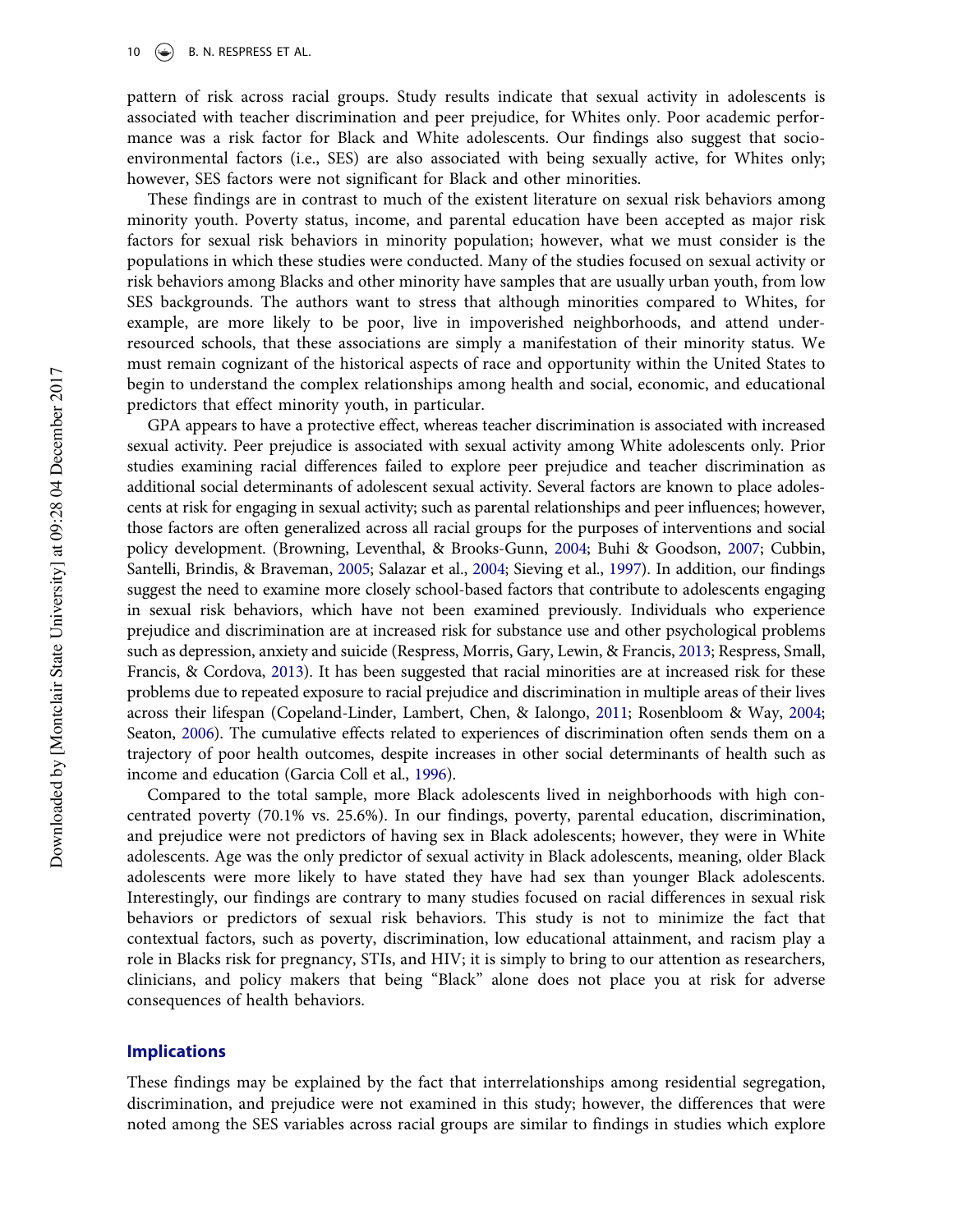pattern of risk across racial groups. Study results indicate that sexual activity in adolescents is associated with teacher discrimination and peer prejudice, for Whites only. Poor academic performance was a risk factor for Black and White adolescents. Our findings also suggest that socioenvironmental factors (i.e., SES) are also associated with being sexually active, for Whites only; however, SES factors were not significant for Black and other minorities.

These findings are in contrast to much of the existent literature on sexual risk behaviors among minority youth. Poverty status, income, and parental education have been accepted as major risk factors for sexual risk behaviors in minority population; however, what we must consider is the populations in which these studies were conducted. Many of the studies focused on sexual activity or risk behaviors among Blacks and other minority have samples that are usually urban youth, from low SES backgrounds. The authors want to stress that although minorities compared to Whites, for example, are more likely to be poor, live in impoverished neighborhoods, and attend underresourced schools, that these associations are simply a manifestation of their minority status. We must remain cognizant of the historical aspects of race and opportunity within the United States to begin to understand the complex relationships among health and social, economic, and educational predictors that effect minority youth, in particular.

GPA appears to have a protective effect, whereas teacher discrimination is associated with increased sexual activity. Peer prejudice is associated with sexual activity among White adolescents only. Prior studies examining racial differences failed to explore peer prejudice and teacher discrimination as additional social determinants of adolescent sexual activity. Several factors are known to place adolescents at risk for engaging in sexual activity; such as parental relationships and peer influences; however, those factors are often generalized across all racial groups for the purposes of interventions and social policy development. (Browning, Leventhal, & Brooks-Gunn, 2004; Buhi & Goodson, 2007; Cubbin, Santelli, Brindis, & Braveman, 2005; Salazar et al., 2004; Sieving et al., 1997). In addition, our findings suggest the need to examine more closely school-based factors that contribute to adolescents engaging in sexual risk behaviors, which have not been examined previously. Individuals who experience prejudice and discrimination are at increased risk for substance use and other psychological problems such as depression, anxiety and suicide (Respress, Morris, Gary, Lewin, & Francis, 2013; Respress, Small, Francis, & Cordova, 2013). It has been suggested that racial minorities are at increased risk for these problems due to repeated exposure to racial prejudice and discrimination in multiple areas of their lives across their lifespan (Copeland-Linder, Lambert, Chen, & Ialongo, 2011; Rosenbloom & Way, 2004; Seaton, 2006). The cumulative effects related to experiences of discrimination often sends them on a trajectory of poor health outcomes, despite increases in other social determinants of health such as income and education (Garcia Coll et al., 1996).

Compared to the total sample, more Black adolescents lived in neighborhoods with high concentrated poverty (70.1% vs. 25.6%). In our findings, poverty, parental education, discrimination, and prejudice were not predictors of having sex in Black adolescents; however, they were in White adolescents. Age was the only predictor of sexual activity in Black adolescents, meaning, older Black adolescents were more likely to have stated they have had sex than younger Black adolescents. Interestingly, our findings are contrary to many studies focused on racial differences in sexual risk behaviors or predictors of sexual risk behaviors. This study is not to minimize the fact that contextual factors, such as poverty, discrimination, low educational attainment, and racism play a role in Blacks risk for pregnancy, STIs, and HIV; it is simply to bring to our attention as researchers, clinicians, and policy makers that being "Black" alone does not place you at risk for adverse consequences of health behaviors.

#### Implications

These findings may be explained by the fact that interrelationships among residential segregation, discrimination, and prejudice were not examined in this study; however, the differences that were noted among the SES variables across racial groups are similar to findings in studies which explore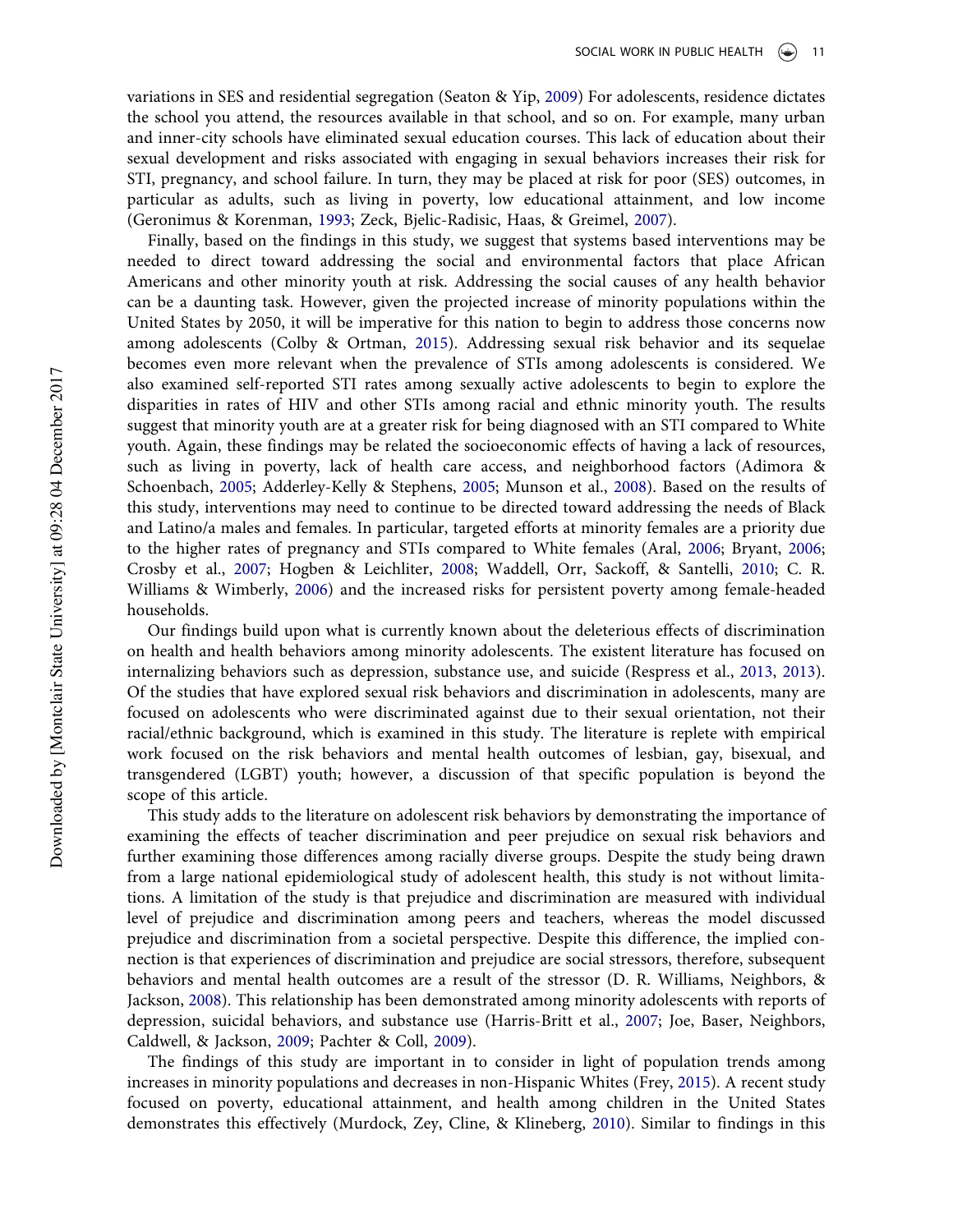variations in SES and residential segregation (Seaton & Yip, 2009) For adolescents, residence dictates the school you attend, the resources available in that school, and so on. For example, many urban and inner-city schools have eliminated sexual education courses. This lack of education about their sexual development and risks associated with engaging in sexual behaviors increases their risk for STI, pregnancy, and school failure. In turn, they may be placed at risk for poor (SES) outcomes, in particular as adults, such as living in poverty, low educational attainment, and low income (Geronimus & Korenman, 1993; Zeck, Bjelic-Radisic, Haas, & Greimel, 2007).

Finally, based on the findings in this study, we suggest that systems based interventions may be needed to direct toward addressing the social and environmental factors that place African Americans and other minority youth at risk. Addressing the social causes of any health behavior can be a daunting task. However, given the projected increase of minority populations within the United States by 2050, it will be imperative for this nation to begin to address those concerns now among adolescents (Colby & Ortman, 2015). Addressing sexual risk behavior and its sequelae becomes even more relevant when the prevalence of STIs among adolescents is considered. We also examined self-reported STI rates among sexually active adolescents to begin to explore the disparities in rates of HIV and other STIs among racial and ethnic minority youth. The results suggest that minority youth are at a greater risk for being diagnosed with an STI compared to White youth. Again, these findings may be related the socioeconomic effects of having a lack of resources, such as living in poverty, lack of health care access, and neighborhood factors (Adimora & Schoenbach, 2005; Adderley-Kelly & Stephens, 2005; Munson et al., 2008). Based on the results of this study, interventions may need to continue to be directed toward addressing the needs of Black and Latino/a males and females. In particular, targeted efforts at minority females are a priority due to the higher rates of pregnancy and STIs compared to White females (Aral, 2006; Bryant, 2006; Crosby et al., 2007; Hogben & Leichliter, 2008; Waddell, Orr, Sackoff, & Santelli, 2010; C. R. Williams & Wimberly, 2006) and the increased risks for persistent poverty among female-headed households.

Our findings build upon what is currently known about the deleterious effects of discrimination on health and health behaviors among minority adolescents. The existent literature has focused on internalizing behaviors such as depression, substance use, and suicide (Respress et al., 2013, 2013). Of the studies that have explored sexual risk behaviors and discrimination in adolescents, many are focused on adolescents who were discriminated against due to their sexual orientation, not their racial/ethnic background, which is examined in this study. The literature is replete with empirical work focused on the risk behaviors and mental health outcomes of lesbian, gay, bisexual, and transgendered (LGBT) youth; however, a discussion of that specific population is beyond the scope of this article.

This study adds to the literature on adolescent risk behaviors by demonstrating the importance of examining the effects of teacher discrimination and peer prejudice on sexual risk behaviors and further examining those differences among racially diverse groups. Despite the study being drawn from a large national epidemiological study of adolescent health, this study is not without limitations. A limitation of the study is that prejudice and discrimination are measured with individual level of prejudice and discrimination among peers and teachers, whereas the model discussed prejudice and discrimination from a societal perspective. Despite this difference, the implied connection is that experiences of discrimination and prejudice are social stressors, therefore, subsequent behaviors and mental health outcomes are a result of the stressor (D. R. Williams, Neighbors, & Jackson, 2008). This relationship has been demonstrated among minority adolescents with reports of depression, suicidal behaviors, and substance use (Harris-Britt et al., 2007; Joe, Baser, Neighbors, Caldwell, & Jackson, 2009; Pachter & Coll, 2009).

The findings of this study are important in to consider in light of population trends among increases in minority populations and decreases in non-Hispanic Whites (Frey, 2015). A recent study focused on poverty, educational attainment, and health among children in the United States demonstrates this effectively (Murdock, Zey, Cline, & Klineberg, 2010). Similar to findings in this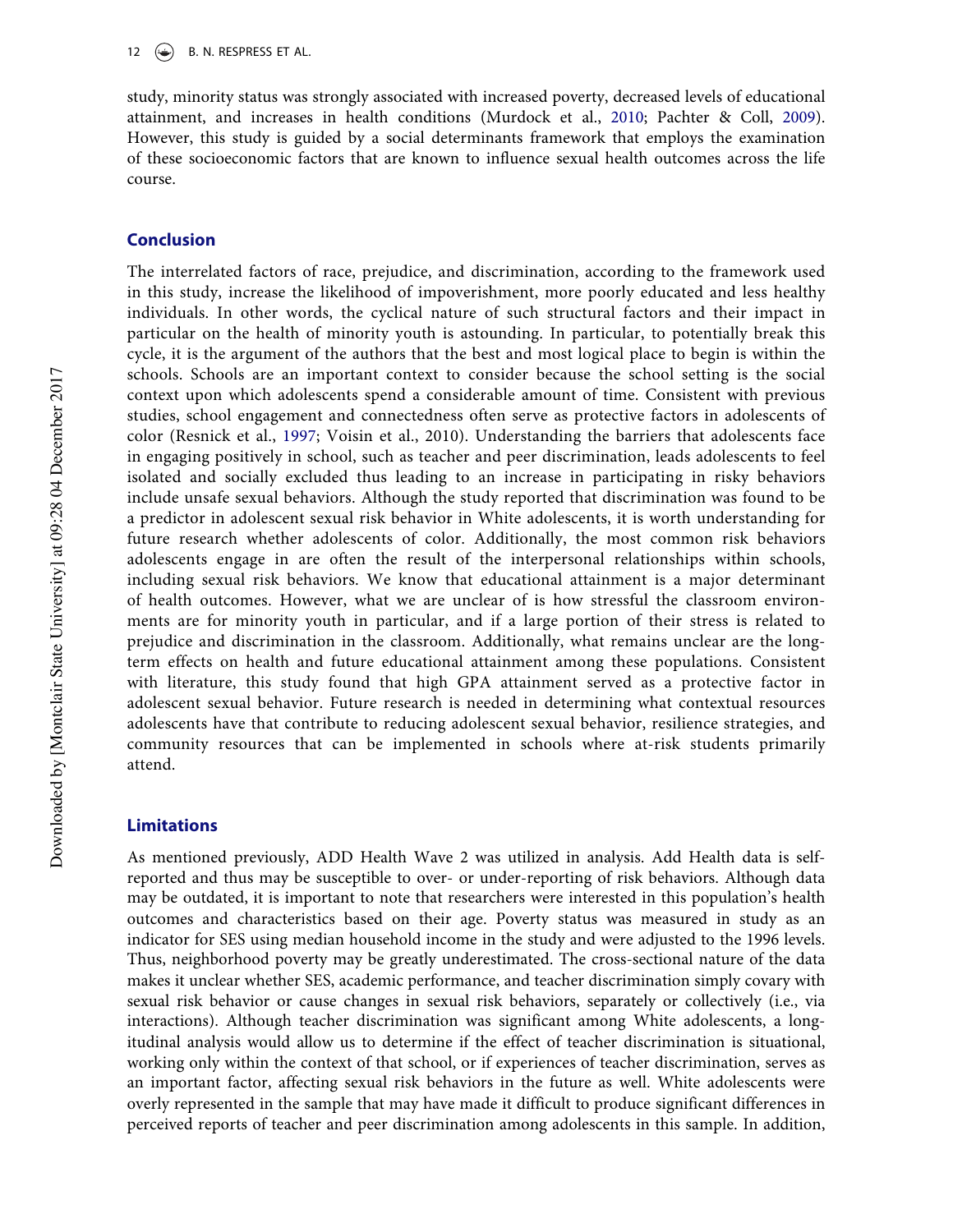study, minority status was strongly associated with increased poverty, decreased levels of educational attainment, and increases in health conditions (Murdock et al., 2010; Pachter & Coll, 2009). However, this study is guided by a social determinants framework that employs the examination of these socioeconomic factors that are known to influence sexual health outcomes across the life course.

# Conclusion

The interrelated factors of race, prejudice, and discrimination, according to the framework used in this study, increase the likelihood of impoverishment, more poorly educated and less healthy individuals. In other words, the cyclical nature of such structural factors and their impact in particular on the health of minority youth is astounding. In particular, to potentially break this cycle, it is the argument of the authors that the best and most logical place to begin is within the schools. Schools are an important context to consider because the school setting is the social context upon which adolescents spend a considerable amount of time. Consistent with previous studies, school engagement and connectedness often serve as protective factors in adolescents of color (Resnick et al., 1997; Voisin et al., 2010). Understanding the barriers that adolescents face in engaging positively in school, such as teacher and peer discrimination, leads adolescents to feel isolated and socially excluded thus leading to an increase in participating in risky behaviors include unsafe sexual behaviors. Although the study reported that discrimination was found to be a predictor in adolescent sexual risk behavior in White adolescents, it is worth understanding for future research whether adolescents of color. Additionally, the most common risk behaviors adolescents engage in are often the result of the interpersonal relationships within schools, including sexual risk behaviors. We know that educational attainment is a major determinant of health outcomes. However, what we are unclear of is how stressful the classroom environments are for minority youth in particular, and if a large portion of their stress is related to prejudice and discrimination in the classroom. Additionally, what remains unclear are the longterm effects on health and future educational attainment among these populations. Consistent with literature, this study found that high GPA attainment served as a protective factor in adolescent sexual behavior. Future research is needed in determining what contextual resources adolescents have that contribute to reducing adolescent sexual behavior, resilience strategies, and community resources that can be implemented in schools where at-risk students primarily attend.

### Limitations

As mentioned previously, ADD Health Wave 2 was utilized in analysis. Add Health data is selfreported and thus may be susceptible to over- or under-reporting of risk behaviors. Although data may be outdated, it is important to note that researchers were interested in this population's health outcomes and characteristics based on their age. Poverty status was measured in study as an indicator for SES using median household income in the study and were adjusted to the 1996 levels. Thus, neighborhood poverty may be greatly underestimated. The cross-sectional nature of the data makes it unclear whether SES, academic performance, and teacher discrimination simply covary with sexual risk behavior or cause changes in sexual risk behaviors, separately or collectively (i.e., via interactions). Although teacher discrimination was significant among White adolescents, a longitudinal analysis would allow us to determine if the effect of teacher discrimination is situational, working only within the context of that school, or if experiences of teacher discrimination, serves as an important factor, affecting sexual risk behaviors in the future as well. White adolescents were overly represented in the sample that may have made it difficult to produce significant differences in perceived reports of teacher and peer discrimination among adolescents in this sample. In addition,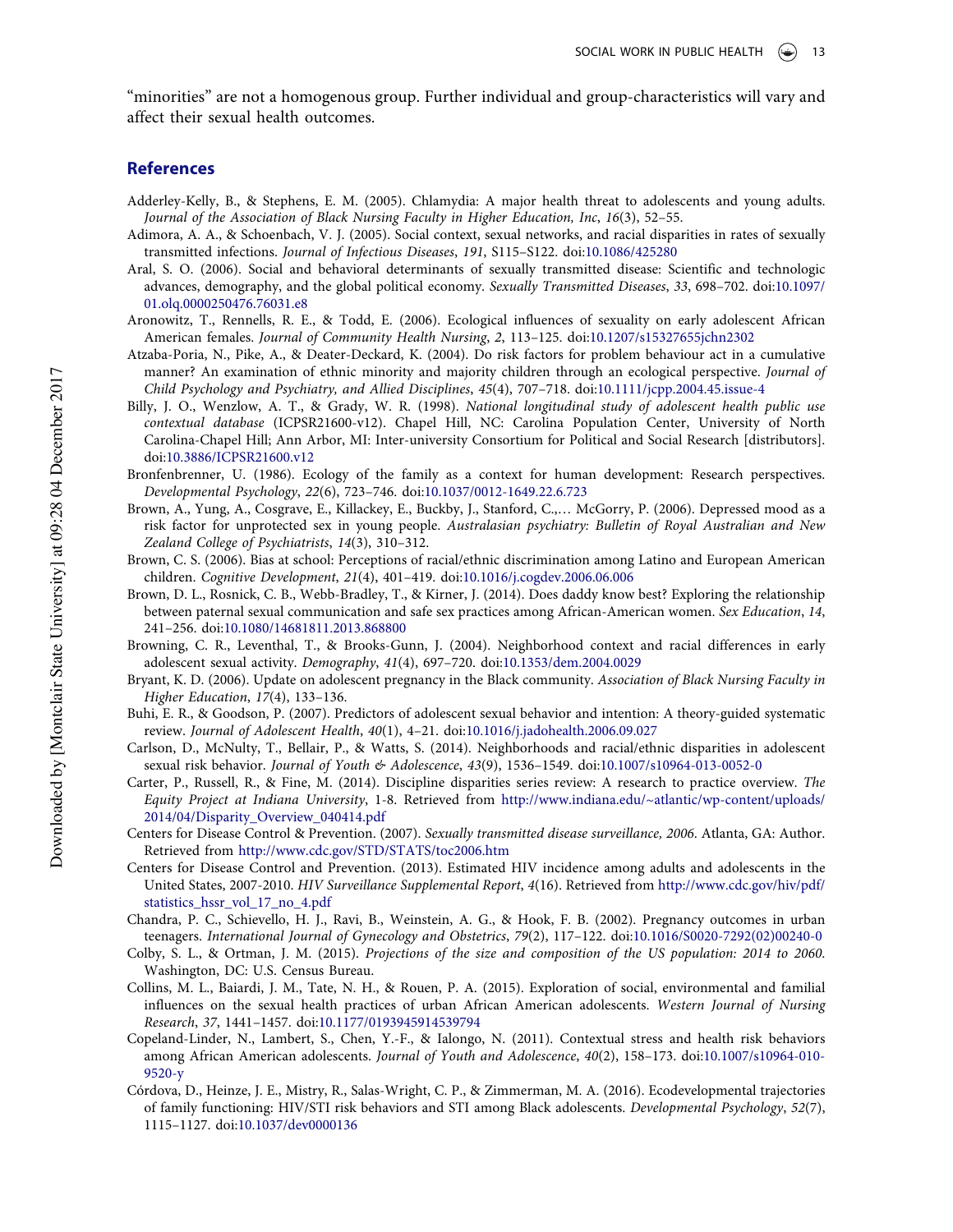"minorities" are not a homogenous group. Further individual and group-characteristics will vary and affect their sexual health outcomes.

#### References

- Adderley-Kelly, B., & Stephens, E. M. (2005). Chlamydia: A major health threat to adolescents and young adults. Journal of the Association of Black Nursing Faculty in Higher Education, Inc, 16(3), 52–55.
- Adimora, A. A., & Schoenbach, V. J. (2005). Social context, sexual networks, and racial disparities in rates of sexually transmitted infections. Journal of Infectious Diseases, 191, S115–S122. doi:10.1086/425280
- Aral, S. O. (2006). Social and behavioral determinants of sexually transmitted disease: Scientific and technologic advances, demography, and the global political economy. Sexually Transmitted Diseases, 33, 698–702. doi:10.1097/ 01.olq.0000250476.76031.e8
- Aronowitz, T., Rennells, R. E., & Todd, E. (2006). Ecological influences of sexuality on early adolescent African American females. Journal of Community Health Nursing, 2, 113–125. doi:10.1207/s15327655jchn2302
- Atzaba-Poria, N., Pike, A., & Deater-Deckard, K. (2004). Do risk factors for problem behaviour act in a cumulative manner? An examination of ethnic minority and majority children through an ecological perspective. Journal of Child Psychology and Psychiatry, and Allied Disciplines, 45(4), 707–718. doi:10.1111/jcpp.2004.45.issue-4
- Billy, J. O., Wenzlow, A. T., & Grady, W. R. (1998). National longitudinal study of adolescent health public use contextual database (ICPSR21600-v12). Chapel Hill, NC: Carolina Population Center, University of North Carolina-Chapel Hill; Ann Arbor, MI: Inter-university Consortium for Political and Social Research [distributors]. doi:10.3886/ICPSR21600.v12
- Bronfenbrenner, U. (1986). Ecology of the family as a context for human development: Research perspectives. Developmental Psychology, 22(6), 723–746. doi:10.1037/0012-1649.22.6.723
- Brown, A., Yung, A., Cosgrave, E., Killackey, E., Buckby, J., Stanford, C.,… McGorry, P. (2006). Depressed mood as a risk factor for unprotected sex in young people. Australasian psychiatry: Bulletin of Royal Australian and New Zealand College of Psychiatrists, 14(3), 310–312.
- Brown, C. S. (2006). Bias at school: Perceptions of racial/ethnic discrimination among Latino and European American children. Cognitive Development, 21(4), 401–419. doi:10.1016/j.cogdev.2006.06.006
- Brown, D. L., Rosnick, C. B., Webb-Bradley, T., & Kirner, J. (2014). Does daddy know best? Exploring the relationship between paternal sexual communication and safe sex practices among African-American women. Sex Education, 14, 241–256. doi:10.1080/14681811.2013.868800
- Browning, C. R., Leventhal, T., & Brooks-Gunn, J. (2004). Neighborhood context and racial differences in early adolescent sexual activity. Demography, 41(4), 697–720. doi:10.1353/dem.2004.0029
- Bryant, K. D. (2006). Update on adolescent pregnancy in the Black community. Association of Black Nursing Faculty in Higher Education, 17(4), 133–136.
- Buhi, E. R., & Goodson, P. (2007). Predictors of adolescent sexual behavior and intention: A theory-guided systematic review. Journal of Adolescent Health, 40(1), 4–21. doi:10.1016/j.jadohealth.2006.09.027
- Carlson, D., McNulty, T., Bellair, P., & Watts, S. (2014). Neighborhoods and racial/ethnic disparities in adolescent sexual risk behavior. Journal of Youth & Adolescence, 43(9), 1536-1549. doi:10.1007/s10964-013-0052-0
- Carter, P., Russell, R., & Fine, M. (2014). Discipline disparities series review: A research to practice overview. The Equity Project at Indiana University, 1-8. Retrieved from http://www.indiana.edu/~atlantic/wp-content/uploads/ 2014/04/Disparity\_Overview\_040414.pdf
- Centers for Disease Control & Prevention. (2007). Sexually transmitted disease surveillance, 2006. Atlanta, GA: Author. Retrieved from http://www.cdc.gov/STD/STATS/toc2006.htm
- Centers for Disease Control and Prevention. (2013). Estimated HIV incidence among adults and adolescents in the United States, 2007-2010. HIV Surveillance Supplemental Report, 4(16). Retrieved from http://www.cdc.gov/hiv/pdf/ statistics\_hssr\_vol\_17\_no\_4.pdf
- Chandra, P. C., Schievello, H. J., Ravi, B., Weinstein, A. G., & Hook, F. B. (2002). Pregnancy outcomes in urban teenagers. International Journal of Gynecology and Obstetrics, 79(2), 117–122. doi:10.1016/S0020-7292(02)00240-0
- Colby, S. L., & Ortman, J. M. (2015). Projections of the size and composition of the US population: 2014 to 2060. Washington, DC: U.S. Census Bureau.
- Collins, M. L., Baiardi, J. M., Tate, N. H., & Rouen, P. A. (2015). Exploration of social, environmental and familial influences on the sexual health practices of urban African American adolescents. Western Journal of Nursing Research, 37, 1441–1457. doi:10.1177/0193945914539794
- Copeland-Linder, N., Lambert, S., Chen, Y.-F., & Ialongo, N. (2011). Contextual stress and health risk behaviors among African American adolescents. Journal of Youth and Adolescence, 40(2), 158–173. doi:10.1007/s10964-010- 9520-y
- Córdova, D., Heinze, J. E., Mistry, R., Salas-Wright, C. P., & Zimmerman, M. A. (2016). Ecodevelopmental trajectories of family functioning: HIV/STI risk behaviors and STI among Black adolescents. Developmental Psychology, 52(7), 1115–1127. doi:10.1037/dev0000136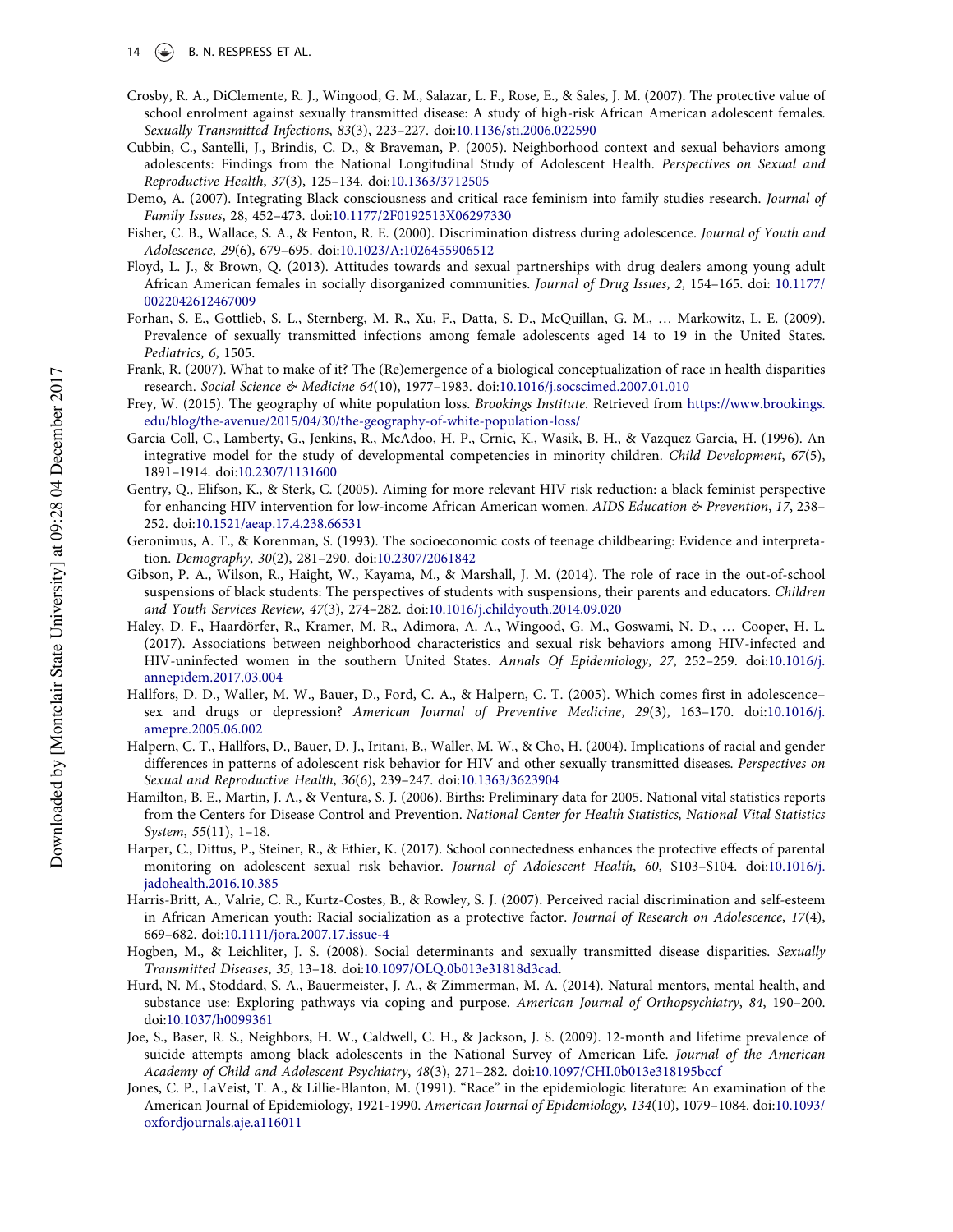- 14  $\left(\rightarrow\right)$  B. N. RESPRESS ET AL.
- Crosby, R. A., DiClemente, R. J., Wingood, G. M., Salazar, L. F., Rose, E., & Sales, J. M. (2007). The protective value of school enrolment against sexually transmitted disease: A study of high-risk African American adolescent females. Sexually Transmitted Infections, 83(3), 223–227. doi:10.1136/sti.2006.022590
- Cubbin, C., Santelli, J., Brindis, C. D., & Braveman, P. (2005). Neighborhood context and sexual behaviors among adolescents: Findings from the National Longitudinal Study of Adolescent Health. Perspectives on Sexual and Reproductive Health, 37(3), 125–134. doi:10.1363/3712505
- Demo, A. (2007). Integrating Black consciousness and critical race feminism into family studies research. Journal of Family Issues, 28, 452–473. doi:10.1177/2F0192513X06297330
- Fisher, C. B., Wallace, S. A., & Fenton, R. E. (2000). Discrimination distress during adolescence. Journal of Youth and Adolescence, 29(6), 679–695. doi:10.1023/A:1026455906512
- Floyd, L. J., & Brown, Q. (2013). Attitudes towards and sexual partnerships with drug dealers among young adult African American females in socially disorganized communities. Journal of Drug Issues, 2, 154–165. doi: 10.1177/ 0022042612467009
- Forhan, S. E., Gottlieb, S. L., Sternberg, M. R., Xu, F., Datta, S. D., McQuillan, G. M., … Markowitz, L. E. (2009). Prevalence of sexually transmitted infections among female adolescents aged 14 to 19 in the United States. Pediatrics, 6, 1505.
- Frank, R. (2007). What to make of it? The (Re)emergence of a biological conceptualization of race in health disparities research. Social Science & Medicine 64(10), 1977–1983. doi:10.1016/j.socscimed.2007.01.010
- Frey, W. (2015). The geography of white population loss. Brookings Institute. Retrieved from https://www.brookings. edu/blog/the-avenue/2015/04/30/the-geography-of-white-population-loss/
- Garcia Coll, C., Lamberty, G., Jenkins, R., McAdoo, H. P., Crnic, K., Wasik, B. H., & Vazquez Garcia, H. (1996). An integrative model for the study of developmental competencies in minority children. Child Development, 67(5), 1891–1914. doi:10.2307/1131600
- Gentry, Q., Elifson, K., & Sterk, C. (2005). Aiming for more relevant HIV risk reduction: a black feminist perspective for enhancing HIV intervention for low-income African American women. AIDS Education & Prevention, 17, 238– 252. doi:10.1521/aeap.17.4.238.66531
- Geronimus, A. T., & Korenman, S. (1993). The socioeconomic costs of teenage childbearing: Evidence and interpretation. Demography, 30(2), 281–290. doi:10.2307/2061842
- Gibson, P. A., Wilson, R., Haight, W., Kayama, M., & Marshall, J. M. (2014). The role of race in the out-of-school suspensions of black students: The perspectives of students with suspensions, their parents and educators. Children and Youth Services Review, 47(3), 274–282. doi:10.1016/j.childyouth.2014.09.020
- Haley, D. F., Haardörfer, R., Kramer, M. R., Adimora, A. A., Wingood, G. M., Goswami, N. D., … Cooper, H. L. (2017). Associations between neighborhood characteristics and sexual risk behaviors among HIV-infected and HIV-uninfected women in the southern United States. Annals Of Epidemiology, 27, 252–259. doi:10.1016/j. annepidem.2017.03.004
- Hallfors, D. D., Waller, M. W., Bauer, D., Ford, C. A., & Halpern, C. T. (2005). Which comes first in adolescence– sex and drugs or depression? American Journal of Preventive Medicine, 29(3), 163–170. doi:10.1016/j. amepre.2005.06.002
- Halpern, C. T., Hallfors, D., Bauer, D. J., Iritani, B., Waller, M. W., & Cho, H. (2004). Implications of racial and gender differences in patterns of adolescent risk behavior for HIV and other sexually transmitted diseases. Perspectives on Sexual and Reproductive Health, 36(6), 239–247. doi:10.1363/3623904
- Hamilton, B. E., Martin, J. A., & Ventura, S. J. (2006). Births: Preliminary data for 2005. National vital statistics reports from the Centers for Disease Control and Prevention. National Center for Health Statistics, National Vital Statistics System, 55(11), 1–18.
- Harper, C., Dittus, P., Steiner, R., & Ethier, K. (2017). School connectedness enhances the protective effects of parental monitoring on adolescent sexual risk behavior. Journal of Adolescent Health, 60, S103–S104. doi:10.1016/j. jadohealth.2016.10.385
- Harris-Britt, A., Valrie, C. R., Kurtz-Costes, B., & Rowley, S. J. (2007). Perceived racial discrimination and self-esteem in African American youth: Racial socialization as a protective factor. Journal of Research on Adolescence, 17(4), 669–682. doi:10.1111/jora.2007.17.issue-4
- Hogben, M., & Leichliter, J. S. (2008). Social determinants and sexually transmitted disease disparities. Sexually Transmitted Diseases, 35, 13–18. doi:10.1097/OLQ.0b013e31818d3cad.
- Hurd, N. M., Stoddard, S. A., Bauermeister, J. A., & Zimmerman, M. A. (2014). Natural mentors, mental health, and substance use: Exploring pathways via coping and purpose. American Journal of Orthopsychiatry, 84, 190–200. doi:10.1037/h0099361
- Joe, S., Baser, R. S., Neighbors, H. W., Caldwell, C. H., & Jackson, J. S. (2009). 12-month and lifetime prevalence of suicide attempts among black adolescents in the National Survey of American Life. Journal of the American Academy of Child and Adolescent Psychiatry, 48(3), 271–282. doi:10.1097/CHI.0b013e318195bccf
- Jones, C. P., LaVeist, T. A., & Lillie-Blanton, M. (1991). "Race" in the epidemiologic literature: An examination of the American Journal of Epidemiology, 1921-1990. American Journal of Epidemiology, 134(10), 1079–1084. doi:10.1093/ oxfordjournals.aje.a116011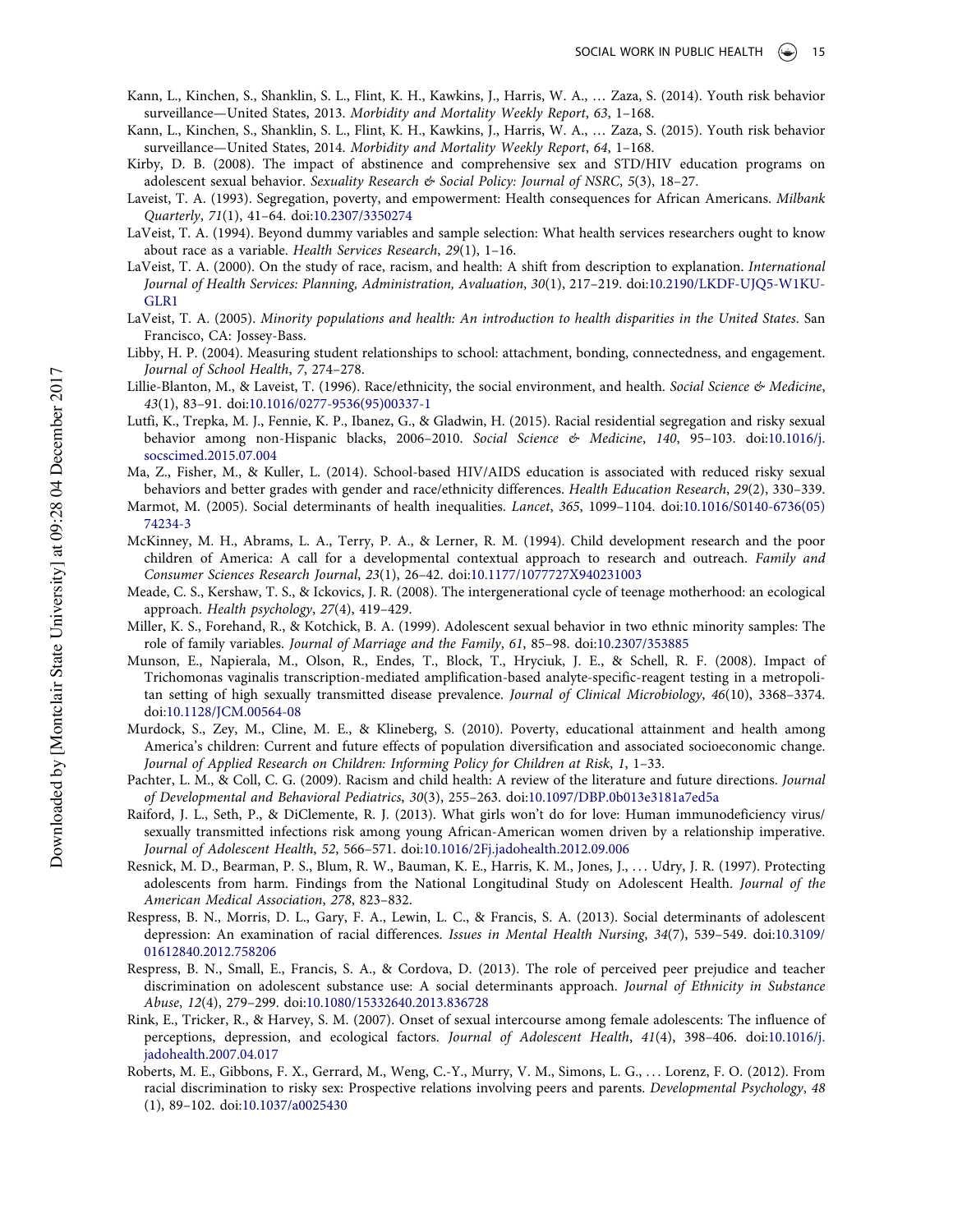- Kann, L., Kinchen, S., Shanklin, S. L., Flint, K. H., Kawkins, J., Harris, W. A., … Zaza, S. (2014). Youth risk behavior surveillance—United States, 2013. Morbidity and Mortality Weekly Report, 63, 1–168.
- Kann, L., Kinchen, S., Shanklin, S. L., Flint, K. H., Kawkins, J., Harris, W. A., … Zaza, S. (2015). Youth risk behavior surveillance—United States, 2014. Morbidity and Mortality Weekly Report, 64, 1–168.
- Kirby, D. B. (2008). The impact of abstinence and comprehensive sex and STD/HIV education programs on adolescent sexual behavior. Sexuality Research & Social Policy: Journal of NSRC, 5(3), 18-27.
- Laveist, T. A. (1993). Segregation, poverty, and empowerment: Health consequences for African Americans. Milbank Quarterly, 71(1), 41–64. doi:10.2307/3350274
- LaVeist, T. A. (1994). Beyond dummy variables and sample selection: What health services researchers ought to know about race as a variable. Health Services Research, 29(1), 1–16.
- LaVeist, T. A. (2000). On the study of race, racism, and health: A shift from description to explanation. International Journal of Health Services: Planning, Administration, Avaluation, 30(1), 217–219. doi:10.2190/LKDF-UJQ5-W1KU-GLR1
- LaVeist, T. A. (2005). Minority populations and health: An introduction to health disparities in the United States. San Francisco, CA: Jossey-Bass.
- Libby, H. P. (2004). Measuring student relationships to school: attachment, bonding, connectedness, and engagement. Journal of School Health, 7, 274–278.
- Lillie-Blanton, M., & Laveist, T. (1996). Race/ethnicity, the social environment, and health. Social Science & Medicine, 43(1), 83–91. doi:10.1016/0277-9536(95)00337-1
- Lutfi, K., Trepka, M. J., Fennie, K. P., Ibanez, G., & Gladwin, H. (2015). Racial residential segregation and risky sexual behavior among non-Hispanic blacks, 2006–2010. Social Science & Medicine, 140, 95–103. doi:10.1016/j. socscimed.2015.07.004
- Ma, Z., Fisher, M., & Kuller, L. (2014). School-based HIV/AIDS education is associated with reduced risky sexual behaviors and better grades with gender and race/ethnicity differences. Health Education Research, 29(2), 330–339.
- Marmot, M. (2005). Social determinants of health inequalities. Lancet, 365, 1099–1104. doi:10.1016/S0140-6736(05) 74234-3
- McKinney, M. H., Abrams, L. A., Terry, P. A., & Lerner, R. M. (1994). Child development research and the poor children of America: A call for a developmental contextual approach to research and outreach. Family and Consumer Sciences Research Journal, 23(1), 26–42. doi:10.1177/1077727X940231003
- Meade, C. S., Kershaw, T. S., & Ickovics, J. R. (2008). The intergenerational cycle of teenage motherhood: an ecological approach. Health psychology, 27(4), 419–429.
- Miller, K. S., Forehand, R., & Kotchick, B. A. (1999). Adolescent sexual behavior in two ethnic minority samples: The role of family variables. Journal of Marriage and the Family, 61, 85–98. doi:10.2307/353885
- Munson, E., Napierala, M., Olson, R., Endes, T., Block, T., Hryciuk, J. E., & Schell, R. F. (2008). Impact of Trichomonas vaginalis transcription-mediated amplification-based analyte-specific-reagent testing in a metropolitan setting of high sexually transmitted disease prevalence. Journal of Clinical Microbiology, 46(10), 3368-3374. doi:10.1128/JCM.00564-08
- Murdock, S., Zey, M., Cline, M. E., & Klineberg, S. (2010). Poverty, educational attainment and health among America's children: Current and future effects of population diversification and associated socioeconomic change. Journal of Applied Research on Children: Informing Policy for Children at Risk, 1, 1–33.
- Pachter, L. M., & Coll, C. G. (2009). Racism and child health: A review of the literature and future directions. Journal of Developmental and Behavioral Pediatrics, 30(3), 255–263. doi:10.1097/DBP.0b013e3181a7ed5a
- Raiford, J. L., Seth, P., & DiClemente, R. J. (2013). What girls won't do for love: Human immunodeficiency virus/ sexually transmitted infections risk among young African-American women driven by a relationship imperative. Journal of Adolescent Health, 52, 566–571. doi:10.1016/2Fj.jadohealth.2012.09.006
- Resnick, M. D., Bearman, P. S., Blum, R. W., Bauman, K. E., Harris, K. M., Jones, J., . . . Udry, J. R. (1997). Protecting adolescents from harm. Findings from the National Longitudinal Study on Adolescent Health. Journal of the American Medical Association, 278, 823–832.
- Respress, B. N., Morris, D. L., Gary, F. A., Lewin, L. C., & Francis, S. A. (2013). Social determinants of adolescent depression: An examination of racial differences. Issues in Mental Health Nursing, 34(7), 539–549. doi:10.3109/ 01612840.2012.758206
- Respress, B. N., Small, E., Francis, S. A., & Cordova, D. (2013). The role of perceived peer prejudice and teacher discrimination on adolescent substance use: A social determinants approach. Journal of Ethnicity in Substance Abuse, 12(4), 279–299. doi:10.1080/15332640.2013.836728
- Rink, E., Tricker, R., & Harvey, S. M. (2007). Onset of sexual intercourse among female adolescents: The influence of perceptions, depression, and ecological factors. Journal of Adolescent Health, 41(4), 398–406. doi:10.1016/j. jadohealth.2007.04.017
- Roberts, M. E., Gibbons, F. X., Gerrard, M., Weng, C.-Y., Murry, V. M., Simons, L. G., . . . Lorenz, F. O. (2012). From racial discrimination to risky sex: Prospective relations involving peers and parents. Developmental Psychology, 48 (1), 89–102. doi:10.1037/a0025430